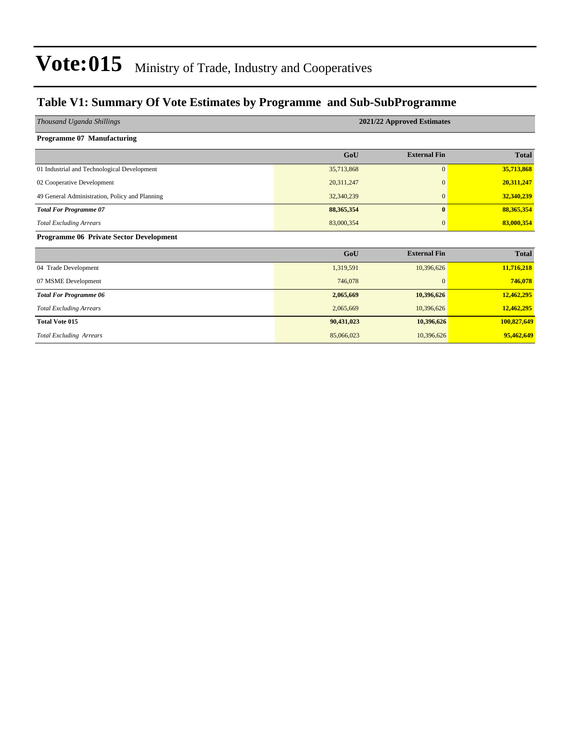### **Table V1: Summary Of Vote Estimates by Programme and Sub-SubProgramme**

| Thousand Uganda Shillings                      |              | 2021/22 Approved Estimates |              |
|------------------------------------------------|--------------|----------------------------|--------------|
| <b>Programme 07 Manufacturing</b>              |              |                            |              |
|                                                | GoU          | <b>External Fin</b>        | <b>Total</b> |
| 01 Industrial and Technological Development    | 35,713,868   | $\boldsymbol{0}$           | 35,713,868   |
| 02 Cooperative Development                     | 20,311,247   | $\Omega$                   | 20,311,247   |
| 49 General Administration, Policy and Planning | 32,340,239   | $\mathbf{0}$               | 32,340,239   |
| <b>Total For Programme 07</b>                  | 88, 365, 354 | $\mathbf{0}$               | 88,365,354   |
| <b>Total Excluding Arrears</b>                 | 83,000,354   | $\mathbf{0}$               | 83,000,354   |
| <b>Programme 06 Private Sector Development</b> |              |                            |              |
|                                                | GoU          | <b>External Fin</b>        | <b>Total</b> |
| 04 Trade Development                           | 1,319,591    | 10,396,626                 | 11,716,218   |
| 07 MSME Development                            | 746,078      | $\mathbf{0}$               | 746,078      |
| <b>Total For Programme 06</b>                  | 2,065,669    | 10,396,626                 | 12,462,295   |
| <b>Total Excluding Arrears</b>                 | 2,065,669    | 10,396,626                 | 12,462,295   |
| <b>Total Vote 015</b>                          | 90,431,023   | 10,396,626                 | 100,827,649  |
| <b>Total Excluding Arrears</b>                 | 85,066,023   | 10,396,626                 | 95,462,649   |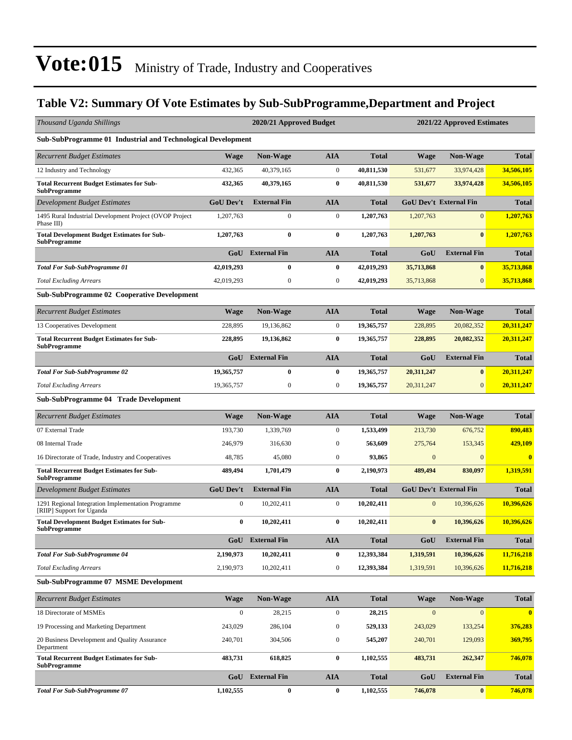## **Table V2: Summary Of Vote Estimates by Sub-SubProgramme,Department and Project**

| Thousand Uganda Shillings                                                       |                  | 2020/21 Approved Budget |                  |              |              | 2021/22 Approved Estimates    |                         |
|---------------------------------------------------------------------------------|------------------|-------------------------|------------------|--------------|--------------|-------------------------------|-------------------------|
| Sub-SubProgramme 01 Industrial and Technological Development                    |                  |                         |                  |              |              |                               |                         |
| <b>Recurrent Budget Estimates</b>                                               | <b>Wage</b>      | <b>Non-Wage</b>         | <b>AIA</b>       | <b>Total</b> | <b>Wage</b>  | Non-Wage                      | <b>Total</b>            |
| 12 Industry and Technology                                                      | 432,365          | 40,379,165              | $\boldsymbol{0}$ | 40,811,530   | 531,677      | 33,974,428                    | 34,506,105              |
| <b>Total Recurrent Budget Estimates for Sub-</b><br><b>SubProgramme</b>         | 432,365          | 40,379,165              | $\bf{0}$         | 40,811,530   | 531,677      | 33,974,428                    | 34,506,105              |
| Development Budget Estimates                                                    | <b>GoU Dev't</b> | <b>External Fin</b>     | <b>AIA</b>       | <b>Total</b> |              | <b>GoU Dev't External Fin</b> | <b>Total</b>            |
| 1495 Rural Industrial Development Project (OVOP Project<br>Phase III)           | 1,207,763        | $\boldsymbol{0}$        | $\boldsymbol{0}$ | 1,207,763    | 1,207,763    | $\mathbf{0}$                  | 1,207,763               |
| <b>Total Development Budget Estimates for Sub-</b><br><b>SubProgramme</b>       | 1,207,763        | $\bf{0}$                | $\bf{0}$         | 1,207,763    | 1,207,763    | $\bf{0}$                      | 1,207,763               |
|                                                                                 | GoU              | <b>External Fin</b>     | <b>AIA</b>       | <b>Total</b> | GoU          | <b>External Fin</b>           | <b>Total</b>            |
| <b>Total For Sub-SubProgramme 01</b>                                            | 42,019,293       | $\bf{0}$                | $\bf{0}$         | 42,019,293   | 35,713,868   | $\bf{0}$                      | 35,713,868              |
| <b>Total Excluding Arrears</b>                                                  | 42,019,293       | $\boldsymbol{0}$        | $\boldsymbol{0}$ | 42,019,293   | 35,713,868   | $\mathbf{0}$                  | 35,713,868              |
| <b>Sub-SubProgramme 02 Cooperative Development</b>                              |                  |                         |                  |              |              |                               |                         |
| <b>Recurrent Budget Estimates</b>                                               | <b>Wage</b>      | <b>Non-Wage</b>         | <b>AIA</b>       | <b>Total</b> | Wage         | Non-Wage                      | <b>Total</b>            |
| 13 Cooperatives Development                                                     | 228,895          | 19,136,862              | $\boldsymbol{0}$ | 19,365,757   | 228,895      | 20,082,352                    | 20,311,247              |
| <b>Total Recurrent Budget Estimates for Sub-</b><br><b>SubProgramme</b>         | 228,895          | 19,136,862              | $\bf{0}$         | 19,365,757   | 228,895      | 20,082,352                    | 20,311,247              |
|                                                                                 |                  | GoU External Fin        | <b>AIA</b>       | <b>Total</b> | GoU          | <b>External Fin</b>           | <b>Total</b>            |
| <b>Total For Sub-SubProgramme 02</b>                                            | 19,365,757       | $\bf{0}$                | $\bf{0}$         | 19,365,757   | 20,311,247   | $\bf{0}$                      | 20,311,247              |
| <b>Total Excluding Arrears</b>                                                  | 19,365,757       | $\boldsymbol{0}$        | $\boldsymbol{0}$ | 19,365,757   | 20,311,247   | $\overline{0}$                | 20,311,247              |
| Sub-SubProgramme 04 Trade Development                                           |                  |                         |                  |              |              |                               |                         |
| <b>Recurrent Budget Estimates</b>                                               | <b>Wage</b>      | Non-Wage                | <b>AIA</b>       | <b>Total</b> | <b>Wage</b>  | Non-Wage                      | <b>Total</b>            |
| 07 External Trade                                                               | 193,730          | 1,339,769               | $\boldsymbol{0}$ | 1,533,499    | 213,730      | 676,752                       | 890,483                 |
| 08 Internal Trade                                                               | 246,979          | 316,630                 | $\boldsymbol{0}$ | 563,609      | 275,764      | 153,345                       | 429,109                 |
| 16 Directorate of Trade, Industry and Cooperatives                              | 48,785           | 45,080                  | $\boldsymbol{0}$ | 93,865       | $\mathbf{0}$ | $\mathbf{0}$                  | $\bf{0}$                |
| <b>Total Recurrent Budget Estimates for Sub-</b><br><b>SubProgramme</b>         | 489,494          | 1,701,479               | $\bf{0}$         | 2,190,973    | 489,494      | 830,097                       | 1,319,591               |
| Development Budget Estimates                                                    | <b>GoU Dev't</b> | <b>External Fin</b>     | <b>AIA</b>       | <b>Total</b> |              | <b>GoU Dev't External Fin</b> | <b>Total</b>            |
| 1291 Regional Integration Implementation Programme<br>[RIIP] Support for Uganda | $\boldsymbol{0}$ | 10,202,411              | $\boldsymbol{0}$ | 10,202,411   | $\mathbf{0}$ | 10,396,626                    | 10,396,626              |
| <b>Total Development Budget Estimates for Sub-</b><br><b>SubProgramme</b>       | $\bf{0}$         | 10,202,411              | $\bf{0}$         | 10,202,411   | $\bf{0}$     | 10,396,626                    | 10,396,626              |
|                                                                                 | GoU              | <b>External Fin</b>     | <b>AIA</b>       | <b>Total</b> | GoU          | <b>External Fin</b>           | <b>Total</b>            |
| <b>Total For Sub-SubProgramme 04</b>                                            | 2,190,973        | 10,202,411              | $\bf{0}$         | 12,393,384   | 1,319,591    | 10,396,626                    | 11,716,218              |
| <b>Total Excluding Arrears</b>                                                  | 2,190,973        | 10,202,411              | $\boldsymbol{0}$ | 12,393,384   | 1,319,591    | 10,396,626                    | 11,716,218              |
| <b>Sub-SubProgramme 07 MSME Development</b>                                     |                  |                         |                  |              |              |                               |                         |
| <b>Recurrent Budget Estimates</b>                                               | <b>Wage</b>      | <b>Non-Wage</b>         | <b>AIA</b>       | <b>Total</b> | <b>Wage</b>  | <b>Non-Wage</b>               | <b>Total</b>            |
| 18 Directorate of MSMEs                                                         | $\boldsymbol{0}$ | 28,215                  | $\boldsymbol{0}$ | 28,215       | $\mathbf{0}$ | $\mathbf{0}$                  | $\overline{\mathbf{0}}$ |
| 19 Processing and Marketing Department                                          | 243,029          | 286,104                 | $\boldsymbol{0}$ | 529,133      | 243,029      | 133,254                       | 376,283                 |
| 20 Business Development and Quality Assurance<br>Department                     | 240,701          | 304,506                 | $\boldsymbol{0}$ | 545,207      | 240,701      | 129,093                       | 369,795                 |
| <b>Total Recurrent Budget Estimates for Sub-</b><br><b>SubProgramme</b>         | 483,731          | 618,825                 | $\bf{0}$         | 1,102,555    | 483,731      | 262,347                       | 746,078                 |
|                                                                                 |                  | <b>GoU</b> External Fin | <b>AIA</b>       | <b>Total</b> | GoU          | <b>External Fin</b>           | <b>Total</b>            |
| <b>Total For Sub-SubProgramme 07</b>                                            | 1,102,555        | $\bf{0}$                | $\bf{0}$         | 1,102,555    | 746,078      | $\boldsymbol{0}$              | 746,078                 |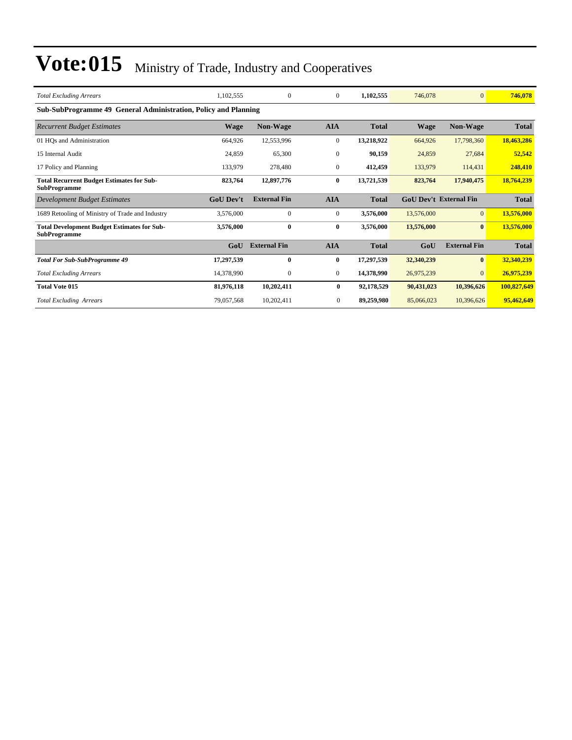| <b>Total Excluding Arrears</b>                                            | 1,102,555        | $\Omega$            | $\mathbf{0}$     | 1,102,555    | 746,078     | $\Omega$                      | 746,078      |
|---------------------------------------------------------------------------|------------------|---------------------|------------------|--------------|-------------|-------------------------------|--------------|
| Sub-SubProgramme 49 General Administration, Policy and Planning           |                  |                     |                  |              |             |                               |              |
| <b>Recurrent Budget Estimates</b>                                         | <b>Wage</b>      | <b>Non-Wage</b>     | <b>AIA</b>       | <b>Total</b> | <b>Wage</b> | <b>Non-Wage</b>               | Total        |
| 01 HOs and Administration                                                 | 664,926          | 12,553,996          | $\boldsymbol{0}$ | 13,218,922   | 664,926     | 17,798,360                    | 18,463,286   |
| 15 Internal Audit                                                         | 24,859           | 65,300              | $\mathbf{0}$     | 90.159       | 24,859      | 27,684                        | 52,542       |
| 17 Policy and Planning                                                    | 133,979          | 278,480             | $\mathbf{0}$     | 412,459      | 133,979     | 114,431                       | 248,410      |
| <b>Total Recurrent Budget Estimates for Sub-</b><br><b>SubProgramme</b>   | 823,764          | 12,897,776          | 0                | 13,721,539   | 823,764     | 17,940,475                    | 18,764,239   |
| Development Budget Estimates                                              | <b>GoU Dev't</b> | <b>External Fin</b> | <b>AIA</b>       | <b>Total</b> |             | <b>GoU Dev't External Fin</b> | <b>Total</b> |
| 1689 Retooling of Ministry of Trade and Industry                          | 3,576,000        | $\Omega$            | $\mathbf{0}$     | 3,576,000    | 13,576,000  | $\overline{0}$                | 13,576,000   |
| <b>Total Development Budget Estimates for Sub-</b><br><b>SubProgramme</b> | 3,576,000        | $\bf{0}$            | $\bf{0}$         | 3,576,000    | 13,576,000  | $\bf{0}$                      | 13,576,000   |
|                                                                           | GoU              | <b>External Fin</b> | <b>AIA</b>       | <b>Total</b> | GoU         | <b>External Fin</b>           | <b>Total</b> |
| <b>Total For Sub-SubProgramme 49</b>                                      | 17,297,539       | $\mathbf{0}$        | $\bf{0}$         | 17,297,539   | 32,340,239  | $\mathbf{0}$                  | 32,340,239   |
| <b>Total Excluding Arrears</b>                                            | 14,378,990       | $\mathbf{0}$        | $\mathbf{0}$     | 14,378,990   | 26,975,239  | $\overline{0}$                | 26,975,239   |
| <b>Total Vote 015</b>                                                     | 81,976,118       | 10,202,411          | $\bf{0}$         | 92,178,529   | 90,431,023  | 10,396,626                    | 100,827,649  |
| <b>Total Excluding Arrears</b>                                            | 79,057,568       | 10.202.411          | $\overline{0}$   | 89,259,980   | 85,066,023  | 10,396,626                    | 95,462,649   |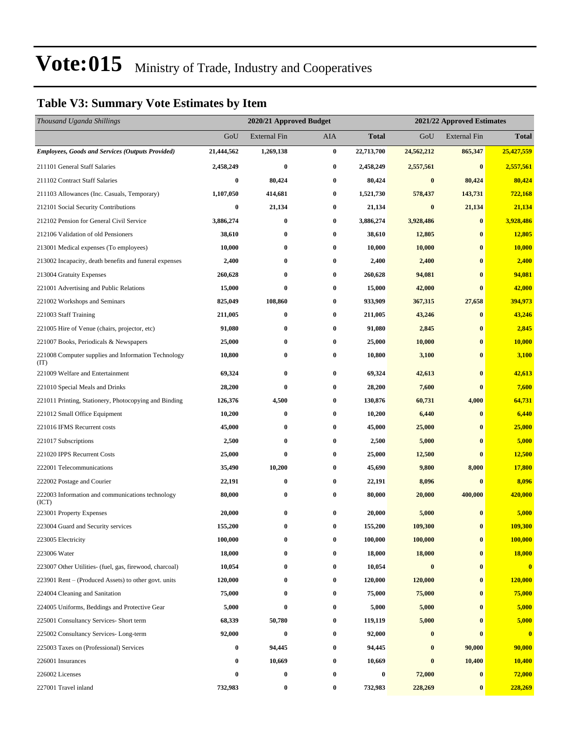## **Table V3: Summary Vote Estimates by Item**

| Thousand Uganda Shillings                                   |                  | 2020/21 Approved Budget |                  |              | 2021/22 Approved Estimates |                     |              |
|-------------------------------------------------------------|------------------|-------------------------|------------------|--------------|----------------------------|---------------------|--------------|
|                                                             | GoU              | <b>External Fin</b>     | AIA              | <b>Total</b> | GoU                        | <b>External Fin</b> | <b>Total</b> |
| <b>Employees, Goods and Services (Outputs Provided)</b>     | 21,444,562       | 1,269,138               | $\bf{0}$         | 22,713,700   | 24,562,212                 | 865,347             | 25,427,559   |
| 211101 General Staff Salaries                               | 2,458,249        | $\bf{0}$                | $\bf{0}$         | 2,458,249    | 2,557,561                  | $\bf{0}$            | 2,557,561    |
| 211102 Contract Staff Salaries                              | $\boldsymbol{0}$ | 80,424                  | $\boldsymbol{0}$ | 80,424       | $\bf{0}$                   | 80,424              | 80,424       |
| 211103 Allowances (Inc. Casuals, Temporary)                 | 1,107,050        | 414,681                 | $\bf{0}$         | 1,521,730    | 578,437                    | 143,731             | 722,168      |
| 212101 Social Security Contributions                        | $\bf{0}$         | 21,134                  | $\bf{0}$         | 21,134       | $\bf{0}$                   | 21,134              | 21,134       |
| 212102 Pension for General Civil Service                    | 3,886,274        | $\bf{0}$                | $\bf{0}$         | 3,886,274    | 3,928,486                  | $\bf{0}$            | 3,928,486    |
| 212106 Validation of old Pensioners                         | 38,610           | $\bf{0}$                | $\bf{0}$         | 38,610       | 12,805                     | $\bf{0}$            | 12,805       |
| 213001 Medical expenses (To employees)                      | 10,000           | $\bf{0}$                | $\bf{0}$         | 10,000       | 10,000                     | $\bf{0}$            | 10,000       |
| 213002 Incapacity, death benefits and funeral expenses      | 2,400            | $\bf{0}$                | $\bf{0}$         | 2,400        | 2,400                      | $\bf{0}$            | 2,400        |
| 213004 Gratuity Expenses                                    | 260,628          | $\bf{0}$                | $\bf{0}$         | 260,628      | 94,081                     | $\bf{0}$            | 94,081       |
| 221001 Advertising and Public Relations                     | 15,000           | $\bf{0}$                | $\bf{0}$         | 15,000       | 42,000                     | $\bf{0}$            | 42,000       |
| 221002 Workshops and Seminars                               | 825,049          | 108,860                 | $\bf{0}$         | 933,909      | 367,315                    | 27,658              | 394,973      |
| 221003 Staff Training                                       | 211,005          | $\bf{0}$                | $\bf{0}$         | 211,005      | 43,246                     | $\bf{0}$            | 43,246       |
| 221005 Hire of Venue (chairs, projector, etc)               | 91,080           | $\bf{0}$                | $\bf{0}$         | 91,080       | 2,845                      | $\bf{0}$            | 2,845        |
| 221007 Books, Periodicals & Newspapers                      | 25,000           | $\bf{0}$                | $\bf{0}$         | 25,000       | 10,000                     | $\bf{0}$            | 10,000       |
| 221008 Computer supplies and Information Technology<br>(TT) | 10,800           | $\bf{0}$                | $\bf{0}$         | 10,800       | 3,100                      | $\bf{0}$            | 3,100        |
| 221009 Welfare and Entertainment                            | 69,324           | $\bf{0}$                | $\bf{0}$         | 69,324       | 42,613                     | $\bf{0}$            | 42,613       |
| 221010 Special Meals and Drinks                             | 28,200           | $\bf{0}$                | $\bf{0}$         | 28,200       | 7,600                      | $\bf{0}$            | 7,600        |
| 221011 Printing, Stationery, Photocopying and Binding       | 126,376          | 4,500                   | $\bf{0}$         | 130,876      | 60,731                     | 4,000               | 64,731       |
| 221012 Small Office Equipment                               | 10,200           | $\bf{0}$                | $\bf{0}$         | 10,200       | 6,440                      | $\bf{0}$            | 6,440        |
| 221016 IFMS Recurrent costs                                 | 45,000           | $\bf{0}$                | $\bf{0}$         | 45,000       | 25,000                     | $\bf{0}$            | 25,000       |
| 221017 Subscriptions                                        | 2,500            | $\bf{0}$                | $\bf{0}$         | 2,500        | 5,000                      | $\bf{0}$            | 5,000        |
| 221020 IPPS Recurrent Costs                                 | 25,000           | $\bf{0}$                | $\bf{0}$         | 25,000       | 12,500                     | $\bf{0}$            | 12,500       |
| 222001 Telecommunications                                   | 35,490           | 10,200                  | $\bf{0}$         | 45,690       | 9,800                      | 8,000               | 17,800       |
| 222002 Postage and Courier                                  | 22,191           | $\bf{0}$                | $\bf{0}$         | 22,191       | 8,096                      | $\bf{0}$            | 8,096        |
| 222003 Information and communications technology<br>(ICT)   | 80,000           | $\bf{0}$                | $\bf{0}$         | 80,000       | 20,000                     | 400,000             | 420,000      |
| 223001 Property Expenses                                    | 20,000           | $\bf{0}$                | 0                | 20,000       | 5,000                      | $\bf{0}$            | 5,000        |
| 223004 Guard and Security services                          | 155,200          | $\bf{0}$                | $\bf{0}$         | 155,200      | 109,300                    | $\bf{0}$            | 109,300      |
| 223005 Electricity                                          | 100,000          | 0                       | $\bf{0}$         | 100,000      | 100,000                    | $\bf{0}$            | 100,000      |
| 223006 Water                                                | 18,000           | 0                       | 0                | 18,000       | 18,000                     | $\bf{0}$            | 18,000       |
| 223007 Other Utilities- (fuel, gas, firewood, charcoal)     | 10,054           | $\bf{0}$                | $\bf{0}$         | 10,054       | $\bf{0}$                   | $\bf{0}$            | $\mathbf{0}$ |
| 223901 Rent – (Produced Assets) to other govt. units        | 120,000          | $\bf{0}$                | $\bf{0}$         | 120,000      | 120,000                    | $\bf{0}$            | 120,000      |
| 224004 Cleaning and Sanitation                              | 75,000           | $\bf{0}$                | $\bf{0}$         | 75,000       | 75,000                     | $\bf{0}$            | 75,000       |
| 224005 Uniforms, Beddings and Protective Gear               | 5,000            | $\bf{0}$                | $\bf{0}$         | 5,000        | 5,000                      | $\bf{0}$            | 5,000        |
| 225001 Consultancy Services- Short term                     | 68,339           | 50,780                  | $\bf{0}$         | 119,119      | 5,000                      | $\bf{0}$            | 5,000        |
| 225002 Consultancy Services-Long-term                       | 92,000           | $\bf{0}$                | $\bf{0}$         | 92,000       | $\bf{0}$                   | $\bf{0}$            | $\bf{0}$     |
| 225003 Taxes on (Professional) Services                     | $\bf{0}$         | 94,445                  | 0                | 94,445       | $\bf{0}$                   | 90,000              | 90,000       |
| 226001 Insurances                                           | 0                | 10,669                  | 0                | 10,669       | $\bf{0}$                   | 10,400              | 10,400       |
| 226002 Licenses                                             | 0                | $\bf{0}$                | 0                | 0            | 72,000                     | $\bf{0}$            | 72,000       |
| 227001 Travel inland                                        | 732,983          | $\bf{0}$                | 0                | 732,983      | 228,269                    | $\bf{0}$            | 228,269      |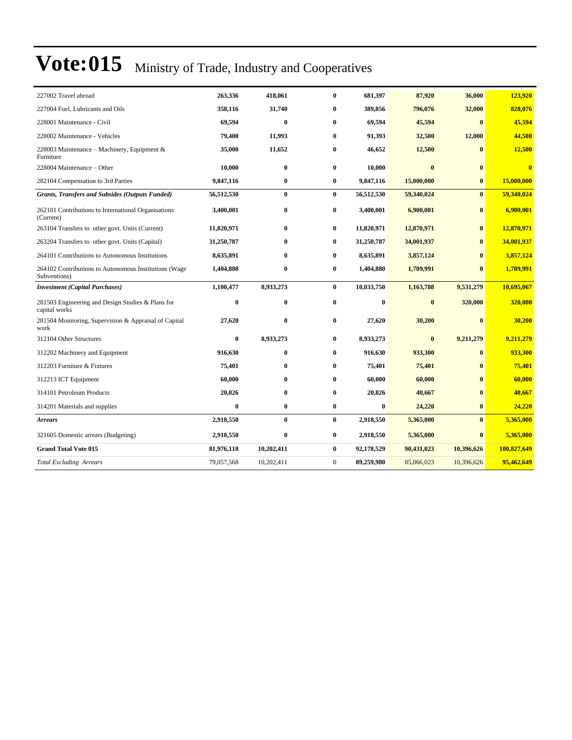| 227002 Travel abroad                                                  | 263,336    | 418,061    | $\mathbf{0}$   | 681,397    | 87,920     | 36,000       | 123,920                 |
|-----------------------------------------------------------------------|------------|------------|----------------|------------|------------|--------------|-------------------------|
| 227004 Fuel, Lubricants and Oils                                      | 358,116    | 31,740     | 0              | 389,856    | 796,076    | 32,000       | 828,076                 |
| 228001 Maintenance - Civil                                            | 69,594     | $\bf{0}$   | $\bf{0}$       | 69,594     | 45,594     | $\mathbf{0}$ | 45,594                  |
| 228002 Maintenance - Vehicles                                         | 79,400     | 11,993     | $\bf{0}$       | 91,393     | 32,500     | 12,000       | 44,500                  |
| 228003 Maintenance – Machinery, Equipment &<br>Furniture              | 35,000     | 11,652     | 0              | 46,652     | 12,500     | $\mathbf{0}$ | 12,500                  |
| 228004 Maintenance – Other                                            | 10,000     | $\bf{0}$   | $\bf{0}$       | 10,000     | $\bf{0}$   | $\bf{0}$     | $\overline{\mathbf{0}}$ |
| 282104 Compensation to 3rd Parties                                    | 9,847,116  | $\bf{0}$   | $\bf{0}$       | 9,847,116  | 15,000,000 | $\bf{0}$     | 15,000,000              |
| <b>Grants, Transfers and Subsides (Outputs Funded)</b>                | 56,512,530 | $\bf{0}$   | $\bf{0}$       | 56,512,530 | 59,340,024 | $\bf{0}$     | 59,340,024              |
| 262101 Contributions to International Organisations<br>(Current)      | 3,400,001  | $\bf{0}$   | $\bf{0}$       | 3,400,001  | 6,900,001  | $\bf{0}$     | 6,900,001               |
| 263104 Transfers to other govt. Units (Current)                       | 11,820,971 | $\bf{0}$   | $\bf{0}$       | 11,820,971 | 12,870,971 | $\bf{0}$     | 12,870,971              |
| 263204 Transfers to other govt. Units (Capital)                       | 31,250,787 | $\bf{0}$   | $\bf{0}$       | 31,250,787 | 34,001,937 | $\mathbf{0}$ | 34,001,937              |
| 264101 Contributions to Autonomous Institutions                       | 8,635,891  | $\bf{0}$   | $\bf{0}$       | 8,635,891  | 3,857,124  | $\mathbf{0}$ | 3,857,124               |
| 264102 Contributions to Autonomous Institutions (Wage<br>Subventions) | 1,404,880  | $\bf{0}$   | $\bf{0}$       | 1,404,880  | 1,709,991  | $\mathbf{0}$ | 1,709,991               |
| <b>Investment</b> (Capital Purchases)                                 | 1,100,477  | 8,933,273  | $\bf{0}$       | 10,033,750 | 1,163,788  | 9,531,279    | 10,695,067              |
| 281503 Engineering and Design Studies & Plans for<br>capital works    | 0          | $\bf{0}$   | $\bf{0}$       | $\bf{0}$   | $\bf{0}$   | 320,000      | 320,000                 |
| 281504 Monitoring, Supervision & Appraisal of Capital<br>work         | 27,620     | $\bf{0}$   | $\bf{0}$       | 27,620     | 30,200     | $\mathbf{0}$ | 30,200                  |
| 312104 Other Structures                                               | 0          | 8,933,273  | $\bf{0}$       | 8,933,273  | $\bf{0}$   | 9,211,279    | 9,211,279               |
| 312202 Machinery and Equipment                                        | 916,630    | $\bf{0}$   | $\bf{0}$       | 916,630    | 933,300    | $\bf{0}$     | 933,300                 |
| 312203 Furniture & Fixtures                                           | 75,401     | $\bf{0}$   | $\bf{0}$       | 75,401     | 75,401     | $\mathbf{0}$ | 75,401                  |
| 312213 ICT Equipment                                                  | 60,000     | $\bf{0}$   | $\bf{0}$       | 60,000     | 60,000     | $\mathbf{0}$ | 60,000                  |
| 314101 Petroleum Products                                             | 20,826     | $\bf{0}$   | 0              | 20,826     | 40,667     | $\mathbf{0}$ | 40,667                  |
| 314201 Materials and supplies                                         | 0          | $\bf{0}$   | $\bf{0}$       | $\bf{0}$   | 24,220     | $\bf{0}$     | 24,220                  |
| <b>Arrears</b>                                                        | 2,918,550  | $\bf{0}$   | $\mathbf{0}$   | 2,918,550  | 5,365,000  | $\mathbf{0}$ | 5,365,000               |
| 321605 Domestic arrears (Budgeting)                                   | 2,918,550  | $\bf{0}$   | $\bf{0}$       | 2,918,550  | 5,365,000  | $\bf{0}$     | 5,365,000               |
| <b>Grand Total Vote 015</b>                                           | 81,976,118 | 10,202,411 | $\bf{0}$       | 92,178,529 | 90,431,023 | 10,396,626   | 100,827,649             |
| <b>Total Excluding Arrears</b>                                        | 79,057,568 | 10,202,411 | $\overline{0}$ | 89,259,980 | 85,066,023 | 10,396,626   | 95,462,649              |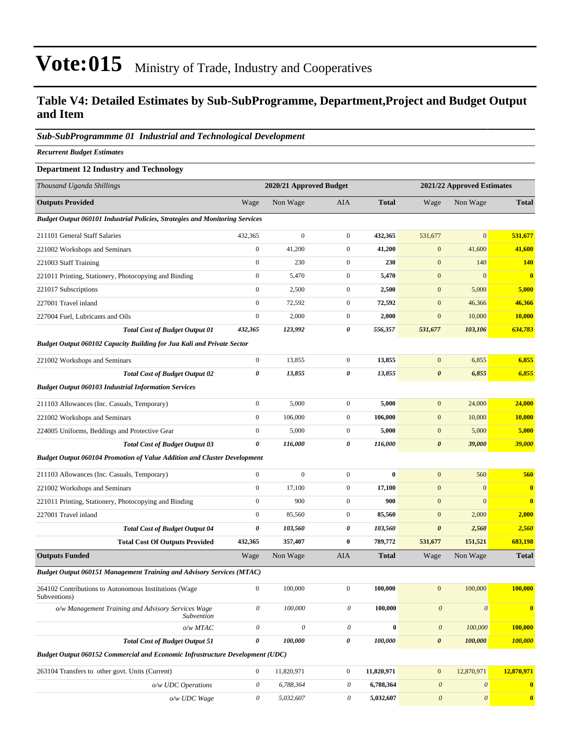### **Table V4: Detailed Estimates by Sub-SubProgramme, Department,Project and Budget Output and Item**

### *Sub-SubProgrammme 01 Industrial and Technological Development*

*Recurrent Budget Estimates*

### **Department 12 Industry and Technology**

| Thousand Uganda Shillings                                                            |                           | 2020/21 Approved Budget   |                       |              |                           | 2021/22 Approved Estimates |               |  |
|--------------------------------------------------------------------------------------|---------------------------|---------------------------|-----------------------|--------------|---------------------------|----------------------------|---------------|--|
| <b>Outputs Provided</b>                                                              | Wage                      | Non Wage                  | AIA                   | <b>Total</b> | Wage                      | Non Wage                   | <b>Total</b>  |  |
| <b>Budget Output 060101 Industrial Policies, Strategies and Monitoring Services</b>  |                           |                           |                       |              |                           |                            |               |  |
| 211101 General Staff Salaries                                                        | 432,365                   | $\boldsymbol{0}$          | $\mathbf{0}$          | 432,365      | 531,677                   | $\mathbf{0}$               | 531,677       |  |
| 221002 Workshops and Seminars                                                        | $\boldsymbol{0}$          | 41,200                    | $\mathbf{0}$          | 41,200       | $\mathbf{0}$              | 41,600                     | 41,600        |  |
| 221003 Staff Training                                                                | $\boldsymbol{0}$          | 230                       | $\mathbf{0}$          | 230          | $\boldsymbol{0}$          | 140                        | <b>140</b>    |  |
| 221011 Printing, Stationery, Photocopying and Binding                                | $\boldsymbol{0}$          | 5,470                     | $\mathbf{0}$          | 5,470        | $\mathbf{0}$              | $\mathbf{0}$               | $\bf{0}$      |  |
| 221017 Subscriptions                                                                 | $\boldsymbol{0}$          | 2,500                     | $\boldsymbol{0}$      | 2,500        | $\boldsymbol{0}$          | 5,000                      | 5,000         |  |
| 227001 Travel inland                                                                 | $\boldsymbol{0}$          | 72,592                    | $\boldsymbol{0}$      | 72,592       | $\boldsymbol{0}$          | 46,366                     | 46,366        |  |
| 227004 Fuel, Lubricants and Oils                                                     | $\boldsymbol{0}$          | 2,000                     | $\mathbf{0}$          | 2,000        | $\boldsymbol{0}$          | 10,000                     | <b>10,000</b> |  |
| <b>Total Cost of Budget Output 01</b>                                                | 432,365                   | 123,992                   | 0                     | 556,357      | 531,677                   | 103,106                    | 634,783       |  |
| Budget Output 060102 Capacity Building for Jua Kali and Private Sector               |                           |                           |                       |              |                           |                            |               |  |
| 221002 Workshops and Seminars                                                        | $\boldsymbol{0}$          | 13,855                    | $\mathbf{0}$          | 13,855       | $\mathbf{0}$              | 6,855                      | 6,855         |  |
| <b>Total Cost of Budget Output 02</b>                                                | 0                         | 13,855                    | 0                     | 13,855       | $\pmb{\theta}$            | 6,855                      | 6,855         |  |
| <b>Budget Output 060103 Industrial Information Services</b>                          |                           |                           |                       |              |                           |                            |               |  |
| 211103 Allowances (Inc. Casuals, Temporary)                                          | $\boldsymbol{0}$          | 5,000                     | $\boldsymbol{0}$      | 5,000        | $\boldsymbol{0}$          | 24,000                     | 24,000        |  |
| 221002 Workshops and Seminars                                                        | $\boldsymbol{0}$          | 106,000                   | $\mathbf{0}$          | 106,000      | $\boldsymbol{0}$          | 10,000                     | <b>10,000</b> |  |
| 224005 Uniforms, Beddings and Protective Gear                                        | $\boldsymbol{0}$          | 5,000                     | $\mathbf{0}$          | 5,000        | $\boldsymbol{0}$          | 5,000                      | 5,000         |  |
| <b>Total Cost of Budget Output 03</b>                                                | 0                         | 116,000                   | 0                     | 116,000      | $\boldsymbol{\theta}$     | 39,000                     | 39,000        |  |
| <b>Budget Output 060104 Promotion of Value Addition and Cluster Development</b>      |                           |                           |                       |              |                           |                            |               |  |
| 211103 Allowances (Inc. Casuals, Temporary)                                          | $\boldsymbol{0}$          | $\boldsymbol{0}$          | $\mathbf{0}$          | $\bf{0}$     | $\boldsymbol{0}$          | 560                        | 560           |  |
| 221002 Workshops and Seminars                                                        | $\boldsymbol{0}$          | 17,100                    | $\mathbf{0}$          | 17,100       | $\boldsymbol{0}$          | $\mathbf{0}$               | $\bf{0}$      |  |
| 221011 Printing, Stationery, Photocopying and Binding                                | $\boldsymbol{0}$          | 900                       | $\mathbf{0}$          | 900          | $\boldsymbol{0}$          | $\mathbf{0}$               | $\bf{0}$      |  |
| 227001 Travel inland                                                                 | $\boldsymbol{0}$          | 85,560                    | $\mathbf{0}$          | 85,560       | $\boldsymbol{0}$          | 2,000                      | 2,000         |  |
| <b>Total Cost of Budget Output 04</b>                                                | 0                         | 103,560                   | 0                     | 103,560      | $\boldsymbol{\theta}$     | 2,560                      | 2,560         |  |
| <b>Total Cost Of Outputs Provided</b>                                                | 432,365                   | 357,407                   | $\bf{0}$              | 789,772      | 531,677                   | 151,521                    | 683,198       |  |
| <b>Outputs Funded</b>                                                                | Wage                      | Non Wage                  | AIA                   | <b>Total</b> | Wage                      | Non Wage                   | <b>Total</b>  |  |
| <b>Budget Output 060151 Management Training and Advisory Services (MTAC)</b>         |                           |                           |                       |              |                           |                            |               |  |
| 264102 Contributions to Autonomous Institutions (Wage<br>Subventions)                | $\boldsymbol{0}$          | 100,000                   | $\boldsymbol{0}$      | 100,000      | $\mathbf{0}$              | 100,000                    | 100,000       |  |
| o/w Management Training and Advisory Services Wage<br>Subvention                     | $\boldsymbol{\mathit{0}}$ | 100,000                   | 0                     | 100,000      | $\boldsymbol{\theta}$     | $\boldsymbol{\theta}$      | $\bf{0}$      |  |
| o/w MTAC                                                                             | $\theta$                  | $\boldsymbol{\mathit{0}}$ | $\theta$              | $\bf{0}$     | $\boldsymbol{\theta}$     | 100,000                    | 100,000       |  |
| <b>Total Cost of Budget Output 51</b>                                                | 0                         | 100,000                   | 0                     | 100,000      | $\boldsymbol{\theta}$     | 100,000                    | 100,000       |  |
| <b>Budget Output 060152 Commercial and Economic Infrastructure Development (UDC)</b> |                           |                           |                       |              |                           |                            |               |  |
| 263104 Transfers to other govt. Units (Current)                                      | $\boldsymbol{0}$          | 11,820,971                | $\boldsymbol{0}$      | 11,820,971   | $\mathbf{0}$              | 12,870,971                 | 12,870,971    |  |
| o/w UDC Operations                                                                   | $\boldsymbol{\theta}$     | 6,788,364                 | $\theta$              | 6,788,364    | $\boldsymbol{\theta}$     | $\boldsymbol{\theta}$      | $\bf{0}$      |  |
| o/w UDC Wage                                                                         | $\boldsymbol{\mathit{0}}$ | 5,032,607                 | $\boldsymbol{\theta}$ | 5,032,607    | $\boldsymbol{\mathit{0}}$ | $\boldsymbol{\mathit{0}}$  | $\bullet$     |  |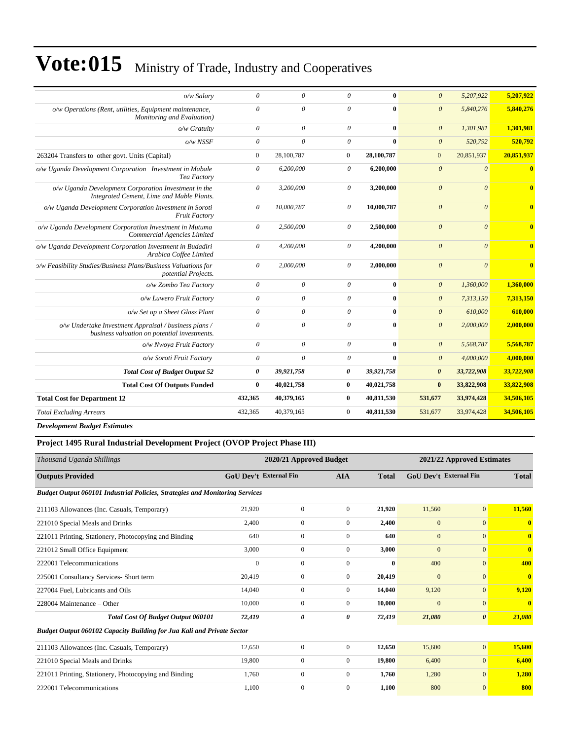| o/w Salary                                                                                            | $\theta$              | $\theta$   | $\theta$       | $\mathbf{0}$ | $\theta$              | 5,207,922  | 5,207,922               |
|-------------------------------------------------------------------------------------------------------|-----------------------|------------|----------------|--------------|-----------------------|------------|-------------------------|
| o/w Operations (Rent, utilities, Equipment maintenance,<br>Monitoring and Evaluation)                 | $\theta$              | $\theta$   | $\theta$       | $\mathbf{0}$ | $\boldsymbol{\theta}$ | 5,840,276  | 5,840,276               |
| $o/w$ Gratuity                                                                                        | $\theta$              | $\theta$   | $\theta$       | $\mathbf{0}$ | $\theta$              | 1.301.981  | 1.301.981               |
| $o/w$ NSSF                                                                                            | $\theta$              | $\theta$   | $\theta$       | $\mathbf{0}$ | $\theta$              | 520,792    | 520.792                 |
| 263204 Transfers to other govt. Units (Capital)                                                       | $\mathbf{0}$          | 28,100,787 | $\overline{0}$ | 28,100,787   | $\overline{0}$        | 20,851,937 | 20,851,937              |
| o/w Uganda Development Corporation Investment in Mabale<br>Tea Factory                                | $\theta$              | 6,200,000  | 0              | 6,200,000    | $\boldsymbol{0}$      | $\theta$   | $\bf{0}$                |
| o/w Uganda Development Corporation Investment in the<br>Integrated Cement, Lime and Mable Plants.     | $\theta$              | 3.200.000  | $\theta$       | 3.200.000    | $\theta$              | $\theta$   | $\overline{\mathbf{0}}$ |
| o/w Uganda Development Corporation Investment in Soroti<br><b>Fruit Factory</b>                       | $\theta$              | 10,000,787 | $\theta$       | 10,000,787   | $\boldsymbol{0}$      | $\theta$   | $\mathbf{0}$            |
| o/w Uganda Development Corporation Investment in Mutuma<br>Commercial Agencies Limited                | $\theta$              | 2,500,000  | $\theta$       | 2,500,000    | $\theta$              | $\theta$   | $\mathbf{0}$            |
| o/w Uganda Development Corporation Investment in Budadiri<br>Arabica Coffee Limited                   | $\theta$              | 4,200,000  | $\theta$       | 4,200,000    | $\mathcal{O}$         | $\theta$   | $\mathbf{0}$            |
| >/w Feasibility Studies/Business Plans/Business Valuations for<br>potential Projects.                 | $\theta$              | 2,000,000  | $\theta$       | 2,000,000    | $\mathcal{O}$         | $\theta$   | $\bf{0}$                |
| o/w Zombo Tea Factory                                                                                 | $\theta$              | $\theta$   | $\theta$       | $\bf{0}$     | $\theta$              | 1,360,000  | 1,360,000               |
| o/w Luwero Fruit Factory                                                                              | $\theta$              | $\theta$   | $\theta$       | $\mathbf{0}$ | $\theta$              | 7,313,150  | 7,313,150               |
| o/w Set up a Sheet Glass Plant                                                                        | $\theta$              | $\theta$   | $\theta$       | $\bf{0}$     | $\theta$              | 610,000    | 610,000                 |
| o/w Undertake Investment Appraisal / business plans /<br>business valuation on potential investments. | $\theta$              | $\theta$   | $\theta$       | $\mathbf{0}$ | $\theta$              | 2,000,000  | 2,000,000               |
| o/w Nwoya Fruit Factory                                                                               | $\theta$              | $\theta$   | $\theta$       | $\mathbf{0}$ | $\theta$              | 5,568,787  | 5.568.787               |
| o/w Soroti Fruit Factory                                                                              | $\theta$              | $\theta$   | $\theta$       | $\mathbf{0}$ | $\theta$              | 4,000,000  | 4,000,000               |
| <b>Total Cost of Budget Output 52</b>                                                                 | $\boldsymbol{\theta}$ | 39,921,758 | 0              | 39,921,758   | $\boldsymbol{\theta}$ | 33,722,908 | 33,722,908              |
| <b>Total Cost Of Outputs Funded</b>                                                                   | $\bf{0}$              | 40,021,758 | $\bf{0}$       | 40,021,758   | $\bf{0}$              | 33,822,908 | 33,822,908              |
| <b>Total Cost for Department 12</b>                                                                   | 432,365               | 40,379,165 | $\bf{0}$       | 40,811,530   | 531,677               | 33,974,428 | 34,506,105              |
| <b>Total Excluding Arrears</b>                                                                        | 432,365               | 40.379.165 | $\mathbf{0}$   | 40,811,530   | 531,677               | 33,974,428 | 34,506,105              |
|                                                                                                       |                       |            |                |              |                       |            |                         |

*Development Budget Estimates*

### **Project 1495 Rural Industrial Development Project (OVOP Project Phase III)**

| Thousand Uganda Shillings                                                           |                        | 2020/21 Approved Budget |                |              |                               | 2021/22 Approved Estimates |              |  |
|-------------------------------------------------------------------------------------|------------------------|-------------------------|----------------|--------------|-------------------------------|----------------------------|--------------|--|
| <b>Outputs Provided</b>                                                             | GoU Dev't External Fin |                         | <b>AIA</b>     | <b>Total</b> | <b>GoU Dev't External Fin</b> |                            | <b>Total</b> |  |
| <b>Budget Output 060101 Industrial Policies, Strategies and Monitoring Services</b> |                        |                         |                |              |                               |                            |              |  |
| 211103 Allowances (Inc. Casuals, Temporary)                                         | 21.920                 | $\overline{0}$          | $\overline{0}$ | 21,920       | 11,560                        | $\overline{0}$             | 11,560       |  |
| 221010 Special Meals and Drinks                                                     | 2,400                  | $\overline{0}$          | $\overline{0}$ | 2,400        | $\overline{0}$                | $\overline{0}$             | $\bf{0}$     |  |
| 221011 Printing, Stationery, Photocopying and Binding                               | 640                    | $\overline{0}$          | $\mathbf{0}$   | 640          | $\overline{0}$                | $\mathbf{0}$               | $\mathbf{0}$ |  |
| 221012 Small Office Equipment                                                       | 3,000                  | $\overline{0}$          | $\mathbf{0}$   | 3,000        | $\overline{0}$                | $\mathbf{0}$               | $\mathbf{0}$ |  |
| 222001 Telecommunications                                                           | $\mathbf{0}$           | $\overline{0}$          | $\mathbf{0}$   | $\mathbf{0}$ | 400                           | $\mathbf{0}$               | 400          |  |
| 225001 Consultancy Services- Short term                                             | 20,419                 | $\mathbf{0}$            | $\overline{0}$ | 20,419       | $\mathbf{0}$                  | $\mathbf{0}$               | $\mathbf{0}$ |  |
| 227004 Fuel, Lubricants and Oils                                                    | 14,040                 | $\overline{0}$          | $\overline{0}$ | 14.040       | 9,120                         | $\overline{0}$             | 9,120        |  |
| 228004 Maintenance - Other                                                          | 10,000                 | $\overline{0}$          | $\Omega$       | 10,000       | $\mathbf{0}$                  | $\mathbf{0}$               | $\mathbf{0}$ |  |
| <b>Total Cost Of Budget Output 060101</b>                                           | 72,419                 | 0                       | 0              | 72,419       | 21,080                        | $\boldsymbol{\theta}$      | 21,080       |  |
| <b>Budget Output 060102 Capacity Building for Jua Kali and Private Sector</b>       |                        |                         |                |              |                               |                            |              |  |
| 211103 Allowances (Inc. Casuals, Temporary)                                         | 12,650                 | $\overline{0}$          | $\overline{0}$ | 12,650       | 15,600                        | $\mathbf{0}$               | 15,600       |  |
| 221010 Special Meals and Drinks                                                     | 19,800                 | $\overline{0}$          | $\overline{0}$ | 19,800       | 6,400                         | $\overline{0}$             | 6,400        |  |
| 221011 Printing, Stationery, Photocopying and Binding                               | 1,760                  | 0                       | $\overline{0}$ | 1,760        | 1,280                         | $\mathbf{0}$               | 1,280        |  |
| 222001 Telecommunications                                                           | 1,100                  | $\overline{0}$          | $\mathbf{0}$   | 1,100        | 800                           | $\overline{0}$             | 800          |  |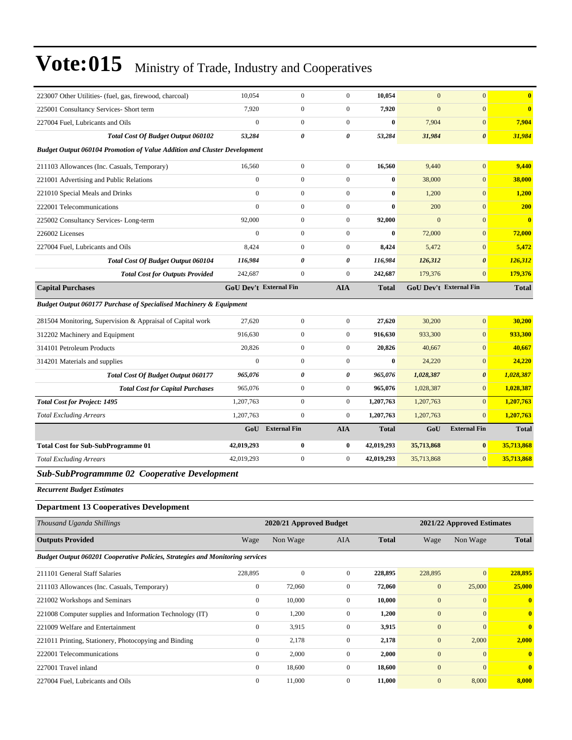| 223007 Other Utilities- (fuel, gas, firewood, charcoal)                              | 10,054                 | $\mathbf{0}$            | $\overline{0}$        | 10,054       | $\mathbf{0}$     | $\mathbf{0}$               | $\bf{0}$     |
|--------------------------------------------------------------------------------------|------------------------|-------------------------|-----------------------|--------------|------------------|----------------------------|--------------|
| 225001 Consultancy Services- Short term                                              | 7,920                  | $\boldsymbol{0}$        | $\boldsymbol{0}$      | 7,920        | $\mathbf{0}$     | $\boldsymbol{0}$           | $\bf{0}$     |
| 227004 Fuel, Lubricants and Oils                                                     | $\boldsymbol{0}$       | $\boldsymbol{0}$        | $\boldsymbol{0}$      | $\bf{0}$     | 7,904            | $\mathbf{0}$               | 7,904        |
| <b>Total Cost Of Budget Output 060102</b>                                            | 53,284                 | 0                       | 0                     | 53,284       | 31,984           | $\boldsymbol{\theta}$      | 31,984       |
| <b>Budget Output 060104 Promotion of Value Addition and Cluster Development</b>      |                        |                         |                       |              |                  |                            |              |
| 211103 Allowances (Inc. Casuals, Temporary)                                          | 16,560                 | $\boldsymbol{0}$        | $\boldsymbol{0}$      | 16,560       | 9,440            | $\boldsymbol{0}$           | 9,440        |
| 221001 Advertising and Public Relations                                              | $\boldsymbol{0}$       | $\boldsymbol{0}$        | $\boldsymbol{0}$      | $\bf{0}$     | 38,000           | $\boldsymbol{0}$           | 38,000       |
| 221010 Special Meals and Drinks                                                      | $\boldsymbol{0}$       | $\boldsymbol{0}$        | $\boldsymbol{0}$      | $\bf{0}$     | 1,200            | $\mathbf{0}$               | 1,200        |
| 222001 Telecommunications                                                            | $\overline{0}$         | $\boldsymbol{0}$        | $\boldsymbol{0}$      | $\bf{0}$     | 200              | $\mathbf{0}$               | <b>200</b>   |
| 225002 Consultancy Services-Long-term                                                | 92,000                 | $\boldsymbol{0}$        | $\boldsymbol{0}$      | 92,000       | $\mathbf{0}$     | $\mathbf{0}$               | $\bf{0}$     |
| 226002 Licenses                                                                      | $\boldsymbol{0}$       | $\mathbf{0}$            | $\boldsymbol{0}$      | $\bf{0}$     | 72,000           | $\mathbf{0}$               | 72,000       |
| 227004 Fuel, Lubricants and Oils                                                     | 8,424                  | $\boldsymbol{0}$        | $\boldsymbol{0}$      | 8,424        | 5,472            | $\mathbf{0}$               | 5,472        |
| <b>Total Cost Of Budget Output 060104</b>                                            | 116,984                | 0                       | $\boldsymbol{\theta}$ | 116,984      | 126,312          | $\boldsymbol{\theta}$      | 126,312      |
| <b>Total Cost for Outputs Provided</b>                                               | 242,687                | $\boldsymbol{0}$        | $\boldsymbol{0}$      | 242,687      | 179,376          | $\mathbf{0}$               | 179,376      |
| <b>Capital Purchases</b>                                                             | GoU Dev't External Fin |                         | <b>AIA</b>            | <b>Total</b> |                  | GoU Dev't External Fin     | <b>Total</b> |
| <b>Budget Output 060177 Purchase of Specialised Machinery &amp; Equipment</b>        |                        |                         |                       |              |                  |                            |              |
| 281504 Monitoring, Supervision & Appraisal of Capital work                           | 27,620                 | $\mathbf{0}$            | $\boldsymbol{0}$      | 27,620       | 30,200           | $\mathbf{0}$               | 30,200       |
| 312202 Machinery and Equipment                                                       | 916,630                | $\mathbf{0}$            | $\boldsymbol{0}$      | 916,630      | 933,300          | $\mathbf{0}$               | 933,300      |
| 314101 Petroleum Products                                                            | 20,826                 | $\boldsymbol{0}$        | $\boldsymbol{0}$      | 20,826       | 40,667           | $\mathbf{0}$               | 40,667       |
| 314201 Materials and supplies                                                        | $\boldsymbol{0}$       | $\boldsymbol{0}$        | $\boldsymbol{0}$      | $\bf{0}$     | 24,220           | $\mathbf{0}$               | 24,220       |
| <b>Total Cost Of Budget Output 060177</b>                                            | 965,076                | 0                       | 0                     | 965,076      | 1,028,387        | $\boldsymbol{\theta}$      | 1,028,387    |
| <b>Total Cost for Capital Purchases</b>                                              | 965,076                | $\boldsymbol{0}$        | $\boldsymbol{0}$      | 965,076      | 1,028,387        | $\mathbf{0}$               | 1,028,387    |
| <b>Total Cost for Project: 1495</b>                                                  | 1,207,763              | $\boldsymbol{0}$        | $\boldsymbol{0}$      | 1,207,763    | 1,207,763        | $\mathbf{0}$               | 1,207,763    |
| <b>Total Excluding Arrears</b>                                                       | 1,207,763              | $\mathbf{0}$            | $\boldsymbol{0}$      | 1,207,763    | 1,207,763        | $\mathbf{0}$               | 1,207,763    |
|                                                                                      | GoU                    | <b>External Fin</b>     | <b>AIA</b>            | <b>Total</b> | GoU              | <b>External Fin</b>        | <b>Total</b> |
| <b>Total Cost for Sub-SubProgramme 01</b>                                            | 42,019,293             | $\bf{0}$                | $\bf{0}$              | 42,019,293   | 35,713,868       | $\bf{0}$                   | 35,713,868   |
| <b>Total Excluding Arrears</b>                                                       | 42,019,293             | $\boldsymbol{0}$        | $\boldsymbol{0}$      | 42,019,293   | 35,713,868       | $\mathbf{0}$               | 35,713,868   |
| Sub-SubProgrammme 02 Cooperative Development                                         |                        |                         |                       |              |                  |                            |              |
| <b>Recurrent Budget Estimates</b>                                                    |                        |                         |                       |              |                  |                            |              |
| <b>Department 13 Cooperatives Development</b>                                        |                        |                         |                       |              |                  |                            |              |
| Thousand Uganda Shillings                                                            |                        | 2020/21 Approved Budget |                       |              |                  | 2021/22 Approved Estimates |              |
| <b>Outputs Provided</b>                                                              | Wage                   | Non Wage                | AIA                   | <b>Total</b> | Wage             | Non Wage                   | <b>Total</b> |
| <b>Budget Output 060201 Cooperative Policies, Strategies and Monitoring services</b> |                        |                         |                       |              |                  |                            |              |
| 211101 General Staff Salaries                                                        | 228,895                | $\boldsymbol{0}$        | $\boldsymbol{0}$      | 228,895      | 228,895          | $\mathbf{0}$               | 228,895      |
| 211103 Allowances (Inc. Casuals, Temporary)                                          | $\boldsymbol{0}$       | 72,060                  | $\boldsymbol{0}$      | 72,060       | $\boldsymbol{0}$ | 25,000                     | 25,000       |
| 221002 Workshops and Seminars                                                        | $\boldsymbol{0}$       | 10,000                  | $\boldsymbol{0}$      | 10,000       | $\boldsymbol{0}$ | $\mathbf{0}$               | $\mathbf{0}$ |
| 221008 Computer supplies and Information Technology (IT)                             | $\boldsymbol{0}$       | 1,200                   | $\boldsymbol{0}$      | 1,200        | $\boldsymbol{0}$ | $\boldsymbol{0}$           | $\mathbf{0}$ |
| 221009 Welfare and Entertainment                                                     | $\boldsymbol{0}$       | 3,915                   | $\boldsymbol{0}$      | 3,915        | $\mathbf{0}$     | $\mathbf{0}$               | $\mathbf{0}$ |
| 221011 Printing, Stationery, Photocopying and Binding                                | $\boldsymbol{0}$       | 2,178                   | $\boldsymbol{0}$      | 2,178        | $\boldsymbol{0}$ | 2,000                      | 2,000        |
| 222001 Telecommunications                                                            | $\boldsymbol{0}$       | 2,000                   | $\boldsymbol{0}$      | 2,000        | $\boldsymbol{0}$ | $\mathbf{0}$               | $\bf{0}$     |
| 227001 Travel inland                                                                 | $\boldsymbol{0}$       | 18,600                  | $\boldsymbol{0}$      | 18,600       | $\boldsymbol{0}$ | $\boldsymbol{0}$           | $\bf{0}$     |
| 227004 Fuel, Lubricants and Oils                                                     | $\boldsymbol{0}$       | 11,000                  | $\mathbf{0}$          | 11,000       | $\boldsymbol{0}$ | 8,000                      | 8,000        |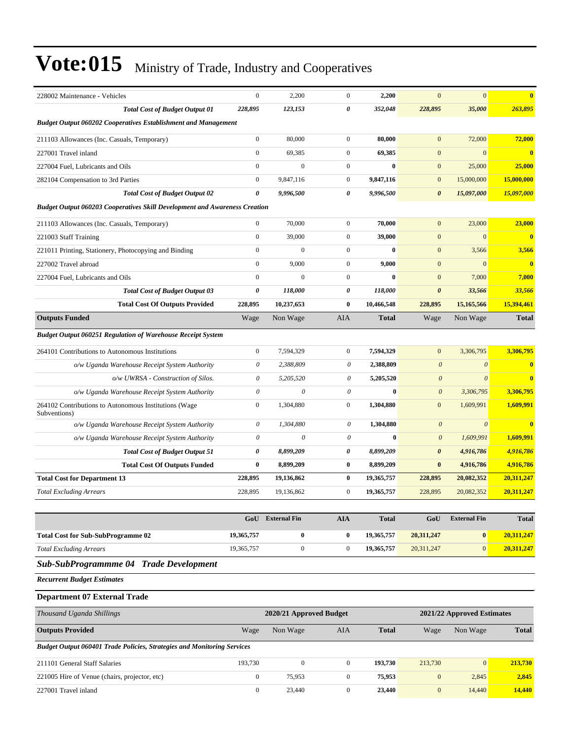| 228002 Maintenance - Vehicles                                                     | $\mathbf{0}$          | 2,200        | $\boldsymbol{0}$ | 2,200        | $\mathbf{0}$          | $\mathbf{0}$  | $\overline{\mathbf{0}}$ |  |  |
|-----------------------------------------------------------------------------------|-----------------------|--------------|------------------|--------------|-----------------------|---------------|-------------------------|--|--|
| <b>Total Cost of Budget Output 01</b>                                             | 228,895               | 123,153      | 0                | 352,048      | 228,895               | 35,000        | 263,895                 |  |  |
| <b>Budget Output 060202 Cooperatives Establishment and Management</b>             |                       |              |                  |              |                       |               |                         |  |  |
| 211103 Allowances (Inc. Casuals, Temporary)                                       | $\mathbf{0}$          | 80,000       | $\mathbf{0}$     | 80,000       | $\mathbf{0}$          | 72,000        | 72,000                  |  |  |
| 227001 Travel inland                                                              | $\mathbf{0}$          | 69,385       | $\boldsymbol{0}$ | 69,385       | $\mathbf{0}$          | $\mathbf{0}$  | $\mathbf{0}$            |  |  |
| 227004 Fuel, Lubricants and Oils                                                  | $\mathbf{0}$          | $\mathbf{0}$ | $\mathbf{0}$     | $\bf{0}$     | $\mathbf{0}$          | 25,000        | 25,000                  |  |  |
| 282104 Compensation to 3rd Parties                                                | $\mathbf{0}$          | 9,847,116    | $\overline{0}$   | 9,847,116    | $\mathbf{0}$          | 15,000,000    | 15,000,000              |  |  |
| <b>Total Cost of Budget Output 02</b>                                             | $\boldsymbol{\theta}$ | 9,996,500    | 0                | 9,996,500    | $\boldsymbol{\theta}$ | 15,097,000    | 15,097,000              |  |  |
| <b>Budget Output 060203 Cooperatives Skill Development and Awareness Creation</b> |                       |              |                  |              |                       |               |                         |  |  |
| 211103 Allowances (Inc. Casuals, Temporary)                                       | $\mathbf{0}$          | 70,000       | $\mathbf{0}$     | 70,000       | $\mathbf{0}$          | 23,000        | 23,000                  |  |  |
| 221003 Staff Training                                                             | $\Omega$              | 39,000       | $\mathbf{0}$     | 39,000       | $\mathbf{0}$          | $\mathbf{0}$  | $\overline{\mathbf{0}}$ |  |  |
| 221011 Printing, Stationery, Photocopying and Binding                             | $\mathbf{0}$          | $\Omega$     | $\mathbf{0}$     | $\bf{0}$     | $\mathbf{0}$          | 3,566         | 3,566                   |  |  |
| 227002 Travel abroad                                                              | $\mathbf{0}$          | 9,000        | $\mathbf{0}$     | 9,000        | $\mathbf{0}$          | $\mathbf{0}$  | $\bf{0}$                |  |  |
| 227004 Fuel, Lubricants and Oils                                                  | $\mathbf{0}$          | $\mathbf{0}$ | $\mathbf{0}$     | $\bf{0}$     | $\mathbf{0}$          | 7,000         | 7,000                   |  |  |
| <b>Total Cost of Budget Output 03</b>                                             | $\boldsymbol{\theta}$ | 118,000      | $\theta$         | 118,000      | $\boldsymbol{\theta}$ | 33,566        | 33,566                  |  |  |
| <b>Total Cost Of Outputs Provided</b>                                             | 228,895               | 10,237,653   | $\bf{0}$         | 10,466,548   | 228,895               | 15,165,566    | 15,394,461              |  |  |
| <b>Outputs Funded</b>                                                             | Wage                  | Non Wage     | <b>AIA</b>       | <b>Total</b> | Wage                  | Non Wage      | <b>Total</b>            |  |  |
| <b>Budget Output 060251 Regulation of Warehouse Receipt System</b>                |                       |              |                  |              |                       |               |                         |  |  |
| 264101 Contributions to Autonomous Institutions                                   | $\mathbf{0}$          | 7,594,329    | $\overline{0}$   | 7,594,329    | $\mathbf{0}$          | 3,306,795     | 3,306,795               |  |  |
| o/w Uganda Warehouse Receipt System Authority                                     | $\theta$              | 2,388,809    | $\theta$         | 2,388,809    | $\theta$              | $\mathcal{O}$ | $\overline{\mathbf{0}}$ |  |  |
| o/w UWRSA - Construction of Silos.                                                | $\theta$              | 5,205,520    | $\theta$         | 5,205,520    | $\theta$              | $\theta$      | $\overline{\mathbf{0}}$ |  |  |
| o/w Uganda Warehouse Receipt System Authority                                     | $\theta$              | $\theta$     | $\theta$         | $\mathbf{0}$ | $\theta$              | 3,306,795     | 3,306,795               |  |  |
| 264102 Contributions to Autonomous Institutions (Wage<br>Subventions)             | $\mathbf{0}$          | 1,304,880    | $\overline{0}$   | 1,304,880    | $\mathbf{0}$          | 1,609,991     | 1,609,991               |  |  |
| o/w Uganda Warehouse Receipt System Authority                                     | $\theta$              | 1,304,880    | $\theta$         | 1,304,880    | $\theta$              | $\theta$      | $\overline{\mathbf{0}}$ |  |  |
| o/w Uganda Warehouse Receipt System Authority                                     | $\theta$              | $\theta$     | $\theta$         | $\mathbf{0}$ | $\boldsymbol{\theta}$ | 1,609,991     | 1,609,991               |  |  |
| <b>Total Cost of Budget Output 51</b>                                             | $\theta$              | 8,899,209    | 0                | 8,899,209    | $\boldsymbol{\theta}$ | 4,916,786     | 4,916,786               |  |  |
| <b>Total Cost Of Outputs Funded</b>                                               | $\mathbf{0}$          | 8,899,209    | $\bf{0}$         | 8,899,209    | $\bf{0}$              | 4,916,786     | 4,916,786               |  |  |
| <b>Total Cost for Department 13</b>                                               | 228,895               | 19,136,862   | $\bf{0}$         | 19,365,757   | 228,895               | 20,082,352    | 20,311,247              |  |  |
| <b>Total Excluding Arrears</b>                                                    | 228.895               | 19.136.862   | $\mathbf{0}$     | 19,365,757   | 228,895               | 20,082,352    | 20,311,247              |  |  |

|                                           | GoU        | <b>External Fin</b> | AIA | <b>Total</b> | GoU        | <b>External Fin</b> | <b>Total</b> |
|-------------------------------------------|------------|---------------------|-----|--------------|------------|---------------------|--------------|
| <b>Total Cost for Sub-SubProgramme 02</b> | 19,365,757 | 0                   |     | 19.365.757   | 20.311.247 |                     | 20,311,247   |
| <b>Total Excluding Arrears</b>            | 19,365,757 |                     |     | 19.365.757   | 20.311.247 |                     | 20.311.247   |

### *Sub-SubProgrammme 04 Trade Development*

*Recurrent Budget Estimates*

### **Department 07 External Trade**

| Thousand Uganda Shillings                                                      | 2020/21 Approved Budget<br>2021/22 Approved Estimates |          |              |         |                |                |              |
|--------------------------------------------------------------------------------|-------------------------------------------------------|----------|--------------|---------|----------------|----------------|--------------|
| <b>Outputs Provided</b>                                                        | Wage                                                  | Non Wage | AIA          | Total   | Wage           | Non Wage       | <b>Total</b> |
| <b>Budget Output 060401 Trade Policies, Strategies and Monitoring Services</b> |                                                       |          |              |         |                |                |              |
| 211101 General Staff Salaries                                                  | 193.730                                               | $\Omega$ | $\Omega$     | 193.730 | 213,730        | $\overline{0}$ | 213,730      |
| 221005 Hire of Venue (chairs, projector, etc)                                  |                                                       | 75,953   | $\mathbf{0}$ | 75,953  | $\overline{0}$ | 2,845          | 2,845        |
| 227001 Travel inland                                                           |                                                       | 23,440   | $\Omega$     | 23,440  | $\overline{0}$ | 14,440         | 14,440       |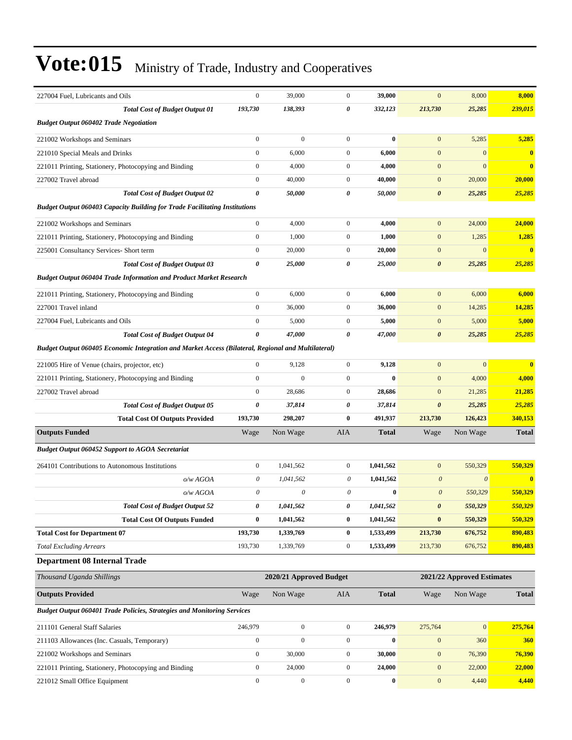| 227004 Fuel, Lubricants and Oils                                                                   | $\boldsymbol{0}$      | 39,000                  | $\mathbf{0}$     | 39,000       | $\mathbf{0}$          | 8,000                            | 8,000        |
|----------------------------------------------------------------------------------------------------|-----------------------|-------------------------|------------------|--------------|-----------------------|----------------------------------|--------------|
| <b>Total Cost of Budget Output 01</b>                                                              | 193,730               | 138,393                 | 0                | 332,123      | 213,730               | 25,285                           | 239,015      |
| <b>Budget Output 060402 Trade Negotiation</b>                                                      |                       |                         |                  |              |                       |                                  |              |
| 221002 Workshops and Seminars                                                                      | $\boldsymbol{0}$      | $\mathbf{0}$            | $\mathbf{0}$     | $\bf{0}$     | $\mathbf{0}$          | 5,285                            | 5,285        |
| 221010 Special Meals and Drinks                                                                    | $\boldsymbol{0}$      | 6,000                   | $\mathbf{0}$     | 6,000        | $\mathbf{0}$          | $\mathbf{0}$                     | $\mathbf{0}$ |
| 221011 Printing, Stationery, Photocopying and Binding                                              | $\boldsymbol{0}$      | 4,000                   | $\boldsymbol{0}$ | 4,000        | $\boldsymbol{0}$      | $\mathbf{0}$                     | $\bf{0}$     |
| 227002 Travel abroad                                                                               | $\boldsymbol{0}$      | 40,000                  | $\mathbf{0}$     | 40,000       | $\boldsymbol{0}$      | 20,000                           | 20,000       |
| <b>Total Cost of Budget Output 02</b>                                                              | $\boldsymbol{\theta}$ | 50,000                  | 0                | 50,000       | $\boldsymbol{\theta}$ | 25,285                           | 25,285       |
| <b>Budget Output 060403 Capacity Building for Trade Facilitating Institutions</b>                  |                       |                         |                  |              |                       |                                  |              |
| 221002 Workshops and Seminars                                                                      | $\boldsymbol{0}$      | 4,000                   | $\mathbf{0}$     | 4,000        | $\mathbf{0}$          | 24,000                           | 24,000       |
| 221011 Printing, Stationery, Photocopying and Binding                                              | $\boldsymbol{0}$      | 1,000                   | $\boldsymbol{0}$ | 1,000        | $\mathbf{0}$          | 1,285                            | 1,285        |
| 225001 Consultancy Services- Short term                                                            | $\boldsymbol{0}$      | 20,000                  | $\boldsymbol{0}$ | 20,000       | $\boldsymbol{0}$      | $\mathbf{0}$                     | $\bf{0}$     |
| <b>Total Cost of Budget Output 03</b>                                                              | 0                     | 25,000                  | 0                | 25,000       | $\pmb{\theta}$        | 25,285                           | 25,285       |
| <b>Budget Output 060404 Trade Information and Product Market Research</b>                          |                       |                         |                  |              |                       |                                  |              |
| 221011 Printing, Stationery, Photocopying and Binding                                              | $\boldsymbol{0}$      | 6,000                   | $\boldsymbol{0}$ | 6,000        | $\mathbf{0}$          | 6,000                            | 6,000        |
| 227001 Travel inland                                                                               | $\boldsymbol{0}$      | 36,000                  | $\boldsymbol{0}$ | 36,000       | $\boldsymbol{0}$      | 14,285                           | 14,285       |
| 227004 Fuel, Lubricants and Oils                                                                   | $\boldsymbol{0}$      | 5,000                   | 0                | 5,000        | $\mathbf{0}$          | 5,000                            | 5,000        |
| <b>Total Cost of Budget Output 04</b>                                                              | $\boldsymbol{\theta}$ | 47,000                  | 0                | 47,000       | $\boldsymbol{\theta}$ | 25,285                           | 25,285       |
| Budget Output 060405 Economic Integration and Market Access (Bilateral, Regional and Multilateral) |                       |                         |                  |              |                       |                                  |              |
| 221005 Hire of Venue (chairs, projector, etc)                                                      | $\boldsymbol{0}$      | 9,128                   | $\mathbf{0}$     | 9,128        | $\mathbf{0}$          | $\mathbf{0}$                     | $\mathbf{0}$ |
| 221011 Printing, Stationery, Photocopying and Binding                                              | $\boldsymbol{0}$      | $\mathbf{0}$            | $\boldsymbol{0}$ | $\bf{0}$     | $\mathbf{0}$          | 4,000                            | 4,000        |
| 227002 Travel abroad                                                                               | $\boldsymbol{0}$      | 28,686                  | $\mathbf{0}$     | 28,686       | $\boldsymbol{0}$      | 21,285                           | 21,285       |
| <b>Total Cost of Budget Output 05</b>                                                              | 0                     | 37,814                  | 0                | 37,814       | $\boldsymbol{\theta}$ | 25,285                           | 25,285       |
| <b>Total Cost Of Outputs Provided</b>                                                              | 193,730               | 298,207                 | $\bf{0}$         | 491,937      | 213,730               | 126,423                          | 340,153      |
| <b>Outputs Funded</b>                                                                              | Wage                  | Non Wage                | AIA              | <b>Total</b> | Wage                  | Non Wage                         | <b>Total</b> |
| <b>Budget Output 060452 Support to AGOA Secretariat</b>                                            |                       |                         |                  |              |                       |                                  |              |
| 264101 Contributions to Autonomous Institutions                                                    | $\boldsymbol{0}$      | 1,041,562               | $\boldsymbol{0}$ | 1,041,562    | $\mathbf{0}$          |                                  | 550,329      |
|                                                                                                    | $\theta$              | 1,041,562               | 0                | 1,041,562    | $\boldsymbol{\theta}$ | 550,329<br>$\boldsymbol{\theta}$ | $\mathbf{0}$ |
| o/w AGOA<br>o/wAGOA                                                                                | $\boldsymbol{\theta}$ | 0                       | 0                | $\bf{0}$     | $\boldsymbol{\theta}$ | 550,329                          | 550,329      |
| <b>Total Cost of Budget Output 52</b>                                                              | 0                     | 1,041,562               | 0                | 1,041,562    | 0                     | 550,329                          | 550,329      |
| <b>Total Cost Of Outputs Funded</b>                                                                | $\bf{0}$              | 1,041,562               | $\bf{0}$         | 1,041,562    | $\bf{0}$              | 550,329                          | 550,329      |
| <b>Total Cost for Department 07</b>                                                                | 193,730               | 1,339,769               | $\boldsymbol{0}$ | 1,533,499    | 213,730               | 676,752                          | 890,483      |
| <b>Total Excluding Arrears</b>                                                                     | 193,730               | 1,339,769               | $\boldsymbol{0}$ | 1,533,499    | 213,730               | 676,752                          | 890,483      |
| <b>Department 08 Internal Trade</b>                                                                |                       |                         |                  |              |                       |                                  |              |
| Thousand Uganda Shillings                                                                          |                       | 2020/21 Approved Budget |                  |              |                       | 2021/22 Approved Estimates       |              |
|                                                                                                    |                       |                         |                  |              |                       |                                  |              |
| <b>Outputs Provided</b>                                                                            | Wage                  | Non Wage                | AIA              | <b>Total</b> | Wage                  | Non Wage                         | <b>Total</b> |
| <b>Budget Output 060401 Trade Policies, Strategies and Monitoring Services</b>                     |                       |                         |                  |              |                       |                                  |              |
| 211101 General Staff Salaries                                                                      | 246,979               | $\boldsymbol{0}$        | $\boldsymbol{0}$ | 246,979      | 275,764               | $\boldsymbol{0}$                 | 275,764      |
| 211103 Allowances (Inc. Casuals, Temporary)                                                        | $\boldsymbol{0}$      | $\boldsymbol{0}$        | $\boldsymbol{0}$ | $\bf{0}$     | $\mathbf{0}$          | 360                              | <b>360</b>   |
| 221002 Workshops and Seminars                                                                      |                       |                         |                  |              |                       |                                  |              |
|                                                                                                    | $\boldsymbol{0}$      | 30,000                  | $\boldsymbol{0}$ | 30,000       | $\boldsymbol{0}$      | 76,390                           | 76,390       |
| 221011 Printing, Stationery, Photocopying and Binding                                              | $\boldsymbol{0}$      | 24,000                  | $\boldsymbol{0}$ | 24,000       | $\boldsymbol{0}$      | 22,000                           | 22,000       |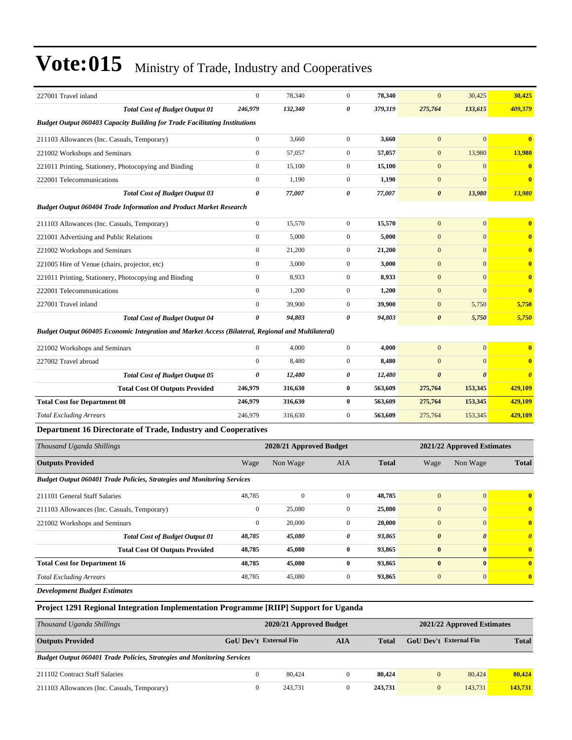| 227001 Travel inland                                                                               | $\mathbf{0}$          | 78,340                  | $\mathbf{0}$     | 78,340       | $\mathbf{0}$          | 30,425                     | 30,425                  |
|----------------------------------------------------------------------------------------------------|-----------------------|-------------------------|------------------|--------------|-----------------------|----------------------------|-------------------------|
| <b>Total Cost of Budget Output 01</b>                                                              | 246,979               | 132,340                 | 0                | 379,319      | 275,764               | 133,615                    | 409,379                 |
| <b>Budget Output 060403 Capacity Building for Trade Facilitating Institutions</b>                  |                       |                         |                  |              |                       |                            |                         |
| 211103 Allowances (Inc. Casuals, Temporary)                                                        | $\boldsymbol{0}$      | 3,660                   | $\boldsymbol{0}$ | 3,660        | $\mathbf{0}$          | $\mathbf{0}$               | $\overline{\mathbf{0}}$ |
| 221002 Workshops and Seminars                                                                      | $\boldsymbol{0}$      | 57,057                  | $\mathbf{0}$     | 57,057       | $\mathbf{0}$          | 13,980                     | 13,980                  |
| 221011 Printing, Stationery, Photocopying and Binding                                              | $\boldsymbol{0}$      | 15,100                  | $\boldsymbol{0}$ | 15,100       | $\mathbf{0}$          | $\mathbf{0}$               | $\bf{0}$                |
| 222001 Telecommunications                                                                          | $\mathbf{0}$          | 1,190                   | $\boldsymbol{0}$ | 1,190        | $\mathbf{0}$          | $\mathbf{0}$               | $\bf{0}$                |
| <b>Total Cost of Budget Output 03</b>                                                              | $\boldsymbol{\theta}$ | 77,007                  | 0                | 77,007       | $\boldsymbol{\theta}$ | 13,980                     | 13,980                  |
| <b>Budget Output 060404 Trade Information and Product Market Research</b>                          |                       |                         |                  |              |                       |                            |                         |
| 211103 Allowances (Inc. Casuals, Temporary)                                                        | $\boldsymbol{0}$      | 15,570                  | $\boldsymbol{0}$ | 15,570       | $\mathbf{0}$          | $\overline{0}$             | $\bf{0}$                |
| 221001 Advertising and Public Relations                                                            | $\mathbf{0}$          | 5,000                   | $\boldsymbol{0}$ | 5,000        | $\mathbf{0}$          | $\mathbf{0}$               | $\bf{0}$                |
| 221002 Workshops and Seminars                                                                      | $\boldsymbol{0}$      | 21,200                  | $\boldsymbol{0}$ | 21,200       | $\mathbf{0}$          | $\mathbf{0}$               | $\bf{0}$                |
| 221005 Hire of Venue (chairs, projector, etc)                                                      | $\boldsymbol{0}$      | 3,000                   | $\boldsymbol{0}$ | 3,000        | $\mathbf{0}$          | $\mathbf{0}$               | $\bf{0}$                |
| 221011 Printing, Stationery, Photocopying and Binding                                              | $\mathbf{0}$          | 8,933                   | $\boldsymbol{0}$ | 8,933        | $\mathbf{0}$          | $\mathbf{0}$               | $\bf{0}$                |
| 222001 Telecommunications                                                                          | $\boldsymbol{0}$      | 1,200                   | $\boldsymbol{0}$ | 1,200        | $\mathbf{0}$          | $\mathbf{0}$               | $\bf{0}$                |
| 227001 Travel inland                                                                               | $\mathbf{0}$          | 39,900                  | $\mathbf{0}$     | 39,900       | $\mathbf{0}$          | 5,750                      | 5,750                   |
| <b>Total Cost of Budget Output 04</b>                                                              | 0                     | 94,803                  | 0                | 94,803       | $\boldsymbol{\theta}$ | 5,750                      | 5,750                   |
| Budget Output 060405 Economic Integration and Market Access (Bilateral, Regional and Multilateral) |                       |                         |                  |              |                       |                            |                         |
| 221002 Workshops and Seminars                                                                      | $\mathbf{0}$          | 4,000                   | $\mathbf{0}$     | 4,000        | $\mathbf{0}$          | $\overline{0}$             | $\bf{0}$                |
| 227002 Travel abroad                                                                               | $\mathbf{0}$          | 8,480                   | $\boldsymbol{0}$ | 8,480        | $\mathbf{0}$          | $\mathbf{0}$               | $\bf{0}$                |
| <b>Total Cost of Budget Output 05</b>                                                              | 0                     | 12,480                  | 0                | 12,480       | $\boldsymbol{\theta}$ | $\boldsymbol{\theta}$      | $\boldsymbol{\theta}$   |
| <b>Total Cost Of Outputs Provided</b>                                                              | 246,979               | 316,630                 | $\bf{0}$         | 563,609      | 275,764               | 153,345                    | 429,109                 |
| <b>Total Cost for Department 08</b>                                                                | 246,979               | 316,630                 | 0                | 563,609      | 275,764               | 153,345                    | 429,109                 |
| <b>Total Excluding Arrears</b>                                                                     | 246,979               | 316,630                 | $\mathbf{0}$     | 563,609      | 275,764               | 153,345                    | 429,109                 |
| Department 16 Directorate of Trade, Industry and Cooperatives                                      |                       |                         |                  |              |                       |                            |                         |
| Thousand Uganda Shillings                                                                          |                       | 2020/21 Approved Budget |                  |              |                       | 2021/22 Approved Estimates |                         |
| <b>Outputs Provided</b>                                                                            | Wage                  | Non Wage                | AIA              | <b>Total</b> | Wage                  | Non Wage                   | <b>Total</b>            |
| <b>Budget Output 060401 Trade Policies, Strategies and Monitoring Services</b>                     |                       |                         |                  |              |                       |                            |                         |
| 211101 General Staff Salaries                                                                      | 48,785                | $\boldsymbol{0}$        | $\mathbf{0}$     | 48,785       | $\mathbf{0}$          | $\mathbf{0}$               | $\overline{\mathbf{0}}$ |
| 211103 Allowances (Inc. Casuals, Temporary)                                                        | $\boldsymbol{0}$      | 25,080                  | $\boldsymbol{0}$ | 25,080       | $\mathbf{0}$          | $\mathbf{0}$               | $\bf{0}$                |
| 221002 Workshops and Seminars                                                                      | $\boldsymbol{0}$      | 20,000                  | $\boldsymbol{0}$ | 20,000       | $\mathbf{0}$          | $\mathbf{0}$               | $\bf{0}$                |
| <b>Total Cost of Budget Output 01</b>                                                              | 48,785                | 45,080                  | 0                | 93,865       | $\boldsymbol{\theta}$ | $\boldsymbol{\theta}$      | $\boldsymbol{\theta}$   |
| <b>Total Cost Of Outputs Provided</b>                                                              | 48,785                | 45,080                  | $\bf{0}$         | 93,865       | $\bf{0}$              | $\bf{0}$                   | $\bf{0}$                |
| <b>Total Cost for Department 16</b>                                                                | 48,785                | 45,080                  | $\bf{0}$         | 93,865       | $\boldsymbol{0}$      | $\bf{0}$                   | $\overline{\mathbf{0}}$ |
| <b>Total Excluding Arrears</b>                                                                     | 48,785                | 45,080                  | $\boldsymbol{0}$ | 93,865       | $\boldsymbol{0}$      | $\mathbf{0}$               | $\bf{0}$                |
|                                                                                                    |                       |                         |                  |              |                       |                            |                         |

*Development Budget Estimates*

### **Project 1291 Regional Integration Implementation Programme [RIIP] Support for Uganda**

| Thousand Uganda Shillings                                                      |                        | 2020/21 Approved Budget |     |         |                               | 2021/22 Approved Estimates |              |  |
|--------------------------------------------------------------------------------|------------------------|-------------------------|-----|---------|-------------------------------|----------------------------|--------------|--|
| <b>Outputs Provided</b>                                                        | GoU Dev't External Fin |                         | AIA | Total   | <b>GoU</b> Dev't External Fin |                            | <b>Total</b> |  |
| <b>Budget Output 060401 Trade Policies, Strategies and Monitoring Services</b> |                        |                         |     |         |                               |                            |              |  |
| 211102 Contract Staff Salaries                                                 |                        | 80,424                  |     | 80.424  | $\mathbf{0}$                  | 80,424                     | 80,424       |  |
| 211103 Allowances (Inc. Casuals, Temporary)                                    |                        | 243.731                 |     | 243,731 |                               | 143,731                    | 143,731      |  |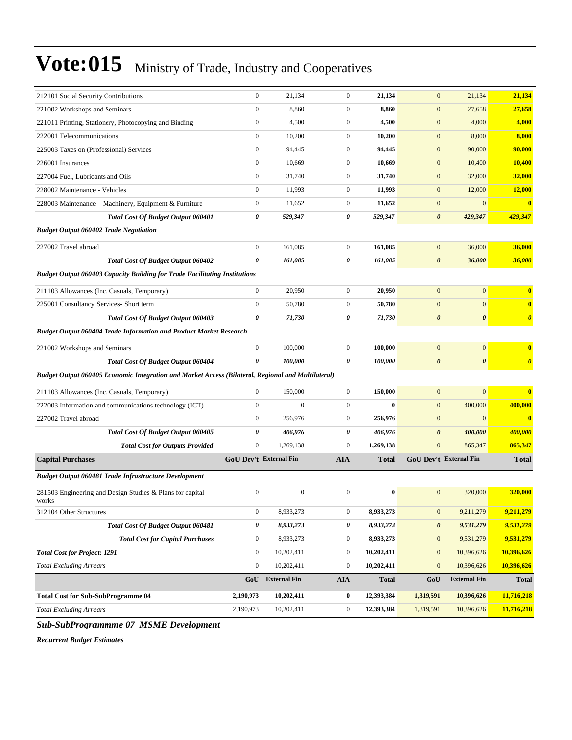| 212101 Social Security Contributions                                                               | $\boldsymbol{0}$              | 21,134              | $\boldsymbol{0}$ | 21,134       | $\boldsymbol{0}$       | 21,134                | 21,134                  |
|----------------------------------------------------------------------------------------------------|-------------------------------|---------------------|------------------|--------------|------------------------|-----------------------|-------------------------|
| 221002 Workshops and Seminars                                                                      | $\boldsymbol{0}$              | 8,860               | $\boldsymbol{0}$ | 8,860        | $\boldsymbol{0}$       | 27,658                | 27,658                  |
| 221011 Printing, Stationery, Photocopying and Binding                                              | $\mathbf{0}$                  | 4,500               | $\boldsymbol{0}$ | 4,500        | $\boldsymbol{0}$       | 4,000                 | 4,000                   |
| 222001 Telecommunications                                                                          | $\mathbf{0}$                  | 10,200              | $\boldsymbol{0}$ | 10,200       | $\mathbf{0}$           | 8,000                 | 8,000                   |
| 225003 Taxes on (Professional) Services                                                            | $\boldsymbol{0}$              | 94,445              | $\boldsymbol{0}$ | 94,445       | $\mathbf{0}$           | 90,000                | 90,000                  |
| 226001 Insurances                                                                                  | $\mathbf{0}$                  | 10,669              | $\boldsymbol{0}$ | 10,669       | $\mathbf{0}$           | 10,400                | 10,400                  |
| 227004 Fuel, Lubricants and Oils                                                                   | $\boldsymbol{0}$              | 31,740              | $\boldsymbol{0}$ | 31,740       | $\mathbf{0}$           | 32,000                | 32,000                  |
| 228002 Maintenance - Vehicles                                                                      | $\mathbf{0}$                  | 11,993              | $\boldsymbol{0}$ | 11,993       | $\mathbf{0}$           | 12,000                | 12,000                  |
| 228003 Maintenance – Machinery, Equipment & Furniture                                              | $\mathbf{0}$                  | 11,652              | $\boldsymbol{0}$ | 11,652       | $\boldsymbol{0}$       | $\mathbf{0}$          | $\overline{\mathbf{0}}$ |
| <b>Total Cost Of Budget Output 060401</b>                                                          | 0                             | 529,347             | 0                | 529,347      | $\boldsymbol{\theta}$  | 429,347               | 429,347                 |
| <b>Budget Output 060402 Trade Negotiation</b>                                                      |                               |                     |                  |              |                        |                       |                         |
| 227002 Travel abroad                                                                               | $\boldsymbol{0}$              | 161,085             | $\boldsymbol{0}$ | 161,085      | $\mathbf{0}$           | 36,000                | 36,000                  |
| <b>Total Cost Of Budget Output 060402</b>                                                          | $\boldsymbol{\theta}$         | 161,085             | 0                | 161,085      | $\boldsymbol{\theta}$  | 36,000                | 36,000                  |
| <b>Budget Output 060403 Capacity Building for Trade Facilitating Institutions</b>                  |                               |                     |                  |              |                        |                       |                         |
| 211103 Allowances (Inc. Casuals, Temporary)                                                        | $\mathbf{0}$                  | 20,950              | $\boldsymbol{0}$ | 20,950       | $\mathbf{0}$           | $\boldsymbol{0}$      | $\bf{0}$                |
| 225001 Consultancy Services- Short term                                                            | $\mathbf{0}$                  | 50,780              | $\boldsymbol{0}$ | 50,780       | $\mathbf{0}$           | $\mathbf{0}$          | $\bf{0}$                |
| <b>Total Cost Of Budget Output 060403</b>                                                          | 0                             | 71,730              | 0                | 71,730       | $\boldsymbol{\theta}$  | $\boldsymbol{\theta}$ | $\boldsymbol{\theta}$   |
| <b>Budget Output 060404 Trade Information and Product Market Research</b>                          |                               |                     |                  |              |                        |                       |                         |
| 221002 Workshops and Seminars                                                                      | $\boldsymbol{0}$              | 100,000             | $\boldsymbol{0}$ | 100,000      | $\mathbf{0}$           | $\mathbf{0}$          | $\bf{0}$                |
| <b>Total Cost Of Budget Output 060404</b>                                                          | $\boldsymbol{\theta}$         | 100,000             | 0                | 100,000      | $\boldsymbol{\theta}$  | $\boldsymbol{\theta}$ | $\boldsymbol{\theta}$   |
| Budget Output 060405 Economic Integration and Market Access (Bilateral, Regional and Multilateral) |                               |                     |                  |              |                        |                       |                         |
| 211103 Allowances (Inc. Casuals, Temporary)                                                        | $\mathbf{0}$                  | 150,000             | $\boldsymbol{0}$ | 150,000      | $\boldsymbol{0}$       | $\mathbf{0}$          | $\overline{\mathbf{0}}$ |
| 222003 Information and communications technology (ICT)                                             | $\mathbf{0}$                  | $\overline{0}$      | $\boldsymbol{0}$ | $\bf{0}$     | $\boldsymbol{0}$       | 400,000               | 400,000                 |
| 227002 Travel abroad                                                                               | $\mathbf{0}$                  | 256,976             | $\boldsymbol{0}$ | 256,976      | $\boldsymbol{0}$       | $\mathbf{0}$          | $\overline{\mathbf{0}}$ |
| Total Cost Of Budget Output 060405                                                                 | 0                             | 406,976             | 0                | 406,976      | $\boldsymbol{\theta}$  | 400,000               | 400,000                 |
| <b>Total Cost for Outputs Provided</b>                                                             | $\boldsymbol{0}$              | 1,269,138           | $\boldsymbol{0}$ | 1,269,138    | $\mathbf{0}$           | 865,347               | 865,347                 |
| <b>Capital Purchases</b>                                                                           | <b>GoU Dev't External Fin</b> |                     | <b>AIA</b>       | <b>Total</b> | GoU Dev't External Fin |                       | <b>Total</b>            |
| Budget Output 060481 Trade Infrastructure Development                                              |                               |                     |                  |              |                        |                       |                         |
| 281503 Engineering and Design Studies & Plans for capital<br>works                                 | $\mathbf{0}$                  | $\boldsymbol{0}$    | $\boldsymbol{0}$ | $\bf{0}$     | $\mathbf{0}$           | 320,000               | 320,000                 |
| 312104 Other Structures                                                                            | $\boldsymbol{0}$              | 8,933,273           | $\boldsymbol{0}$ | 8,933,273    | $\boldsymbol{0}$       | 9,211,279             | 9,211,279               |
| Total Cost Of Budget Output 060481                                                                 | 0                             | 8,933,273           | 0                | 8,933,273    | $\boldsymbol{\theta}$  | 9,531,279             | 9,531,279               |
| <b>Total Cost for Capital Purchases</b>                                                            | $\boldsymbol{0}$              | 8,933,273           | $\boldsymbol{0}$ | 8,933,273    | $\mathbf{0}$           | 9,531,279             | 9,531,279               |
| <b>Total Cost for Project: 1291</b>                                                                | $\mathbf{0}$                  | 10,202,411          | $\boldsymbol{0}$ | 10,202,411   | $\boldsymbol{0}$       | 10,396,626            | 10,396,626              |
| <b>Total Excluding Arrears</b>                                                                     | $\mathbf{0}$                  | 10,202,411          | $\boldsymbol{0}$ | 10,202,411   | $\boldsymbol{0}$       | 10,396,626            | 10,396,626              |
|                                                                                                    | GoU                           | <b>External Fin</b> | <b>AIA</b>       | <b>Total</b> | GoU                    | <b>External Fin</b>   | <b>Total</b>            |
|                                                                                                    |                               |                     |                  |              |                        |                       |                         |
| <b>Total Cost for Sub-SubProgramme 04</b>                                                          | 2,190,973                     | 10,202,411          | 0                | 12,393,384   | 1,319,591              | 10,396,626            | 11,716,218              |
| <b>Total Excluding Arrears</b>                                                                     | 2,190,973                     | 10,202,411          | $\boldsymbol{0}$ | 12,393,384   | 1,319,591              | 10,396,626            | 11,716,218              |
| <b>Sub-SubProgrammme 07 MSME Development</b>                                                       |                               |                     |                  |              |                        |                       |                         |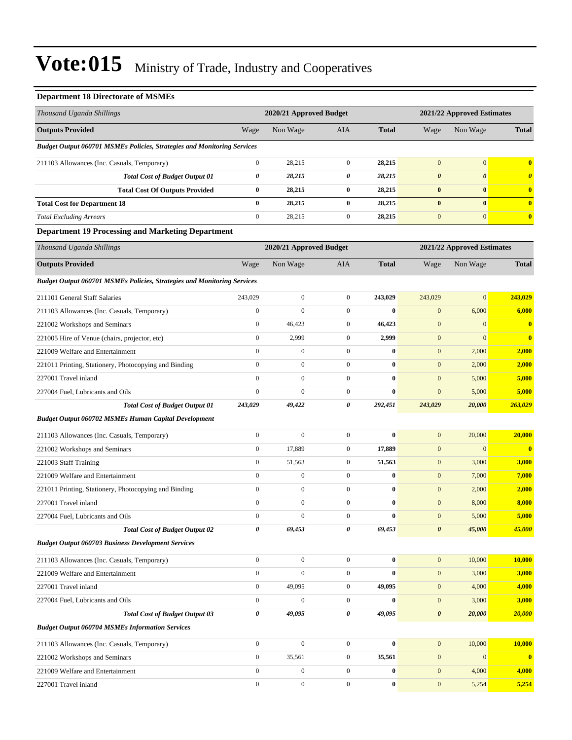### **Department 18 Directorate of MSMEs**

| Thousand Uganda Shillings                                                      |                  | 2020/21 Approved Budget |                  |                  |                       | 2021/22 Approved Estimates |                       |  |
|--------------------------------------------------------------------------------|------------------|-------------------------|------------------|------------------|-----------------------|----------------------------|-----------------------|--|
| <b>Outputs Provided</b>                                                        | Wage             | Non Wage                | AIA              | <b>Total</b>     | Wage                  | Non Wage                   | <b>Total</b>          |  |
| <b>Budget Output 060701 MSMEs Policies, Strategies and Monitoring Services</b> |                  |                         |                  |                  |                       |                            |                       |  |
| 211103 Allowances (Inc. Casuals, Temporary)                                    | $\boldsymbol{0}$ | 28,215                  | $\boldsymbol{0}$ | 28,215           | $\mathbf{0}$          | $\mathbf{0}$               | $\bf{0}$              |  |
| <b>Total Cost of Budget Output 01</b>                                          | 0                | 28,215                  | 0                | 28,215           | $\boldsymbol{\theta}$ | $\boldsymbol{\theta}$      | $\boldsymbol{\theta}$ |  |
| <b>Total Cost Of Outputs Provided</b>                                          | $\bf{0}$         | 28,215                  | $\bf{0}$         | 28,215           | $\pmb{0}$             | $\bf{0}$                   | $\bf{0}$              |  |
| <b>Total Cost for Department 18</b>                                            | $\bf{0}$         | 28,215                  | $\bf{0}$         | 28,215           | $\bf{0}$              | $\bf{0}$                   | $\bf{0}$              |  |
| <b>Total Excluding Arrears</b>                                                 | $\boldsymbol{0}$ | 28,215                  | $\mathbf{0}$     | 28,215           | $\boldsymbol{0}$      | $\mathbf{0}$               | $\bf{0}$              |  |
| <b>Department 19 Processing and Marketing Department</b>                       |                  |                         |                  |                  |                       |                            |                       |  |
| Thousand Uganda Shillings                                                      |                  | 2020/21 Approved Budget |                  |                  |                       | 2021/22 Approved Estimates |                       |  |
| <b>Outputs Provided</b>                                                        | Wage             | Non Wage                | AIA              | <b>Total</b>     | Wage                  | Non Wage                   | <b>Total</b>          |  |
| <b>Budget Output 060701 MSMEs Policies, Strategies and Monitoring Services</b> |                  |                         |                  |                  |                       |                            |                       |  |
| 211101 General Staff Salaries                                                  | 243,029          | $\boldsymbol{0}$        | $\boldsymbol{0}$ | 243,029          | 243,029               | $\mathbf{0}$               | 243,029               |  |
| 211103 Allowances (Inc. Casuals, Temporary)                                    | $\boldsymbol{0}$ | $\boldsymbol{0}$        | $\boldsymbol{0}$ | $\bf{0}$         | $\boldsymbol{0}$      | 6,000                      | 6,000                 |  |
| 221002 Workshops and Seminars                                                  | $\boldsymbol{0}$ | 46,423                  | $\mathbf{0}$     | 46,423           | $\mathbf{0}$          | $\boldsymbol{0}$           | $\bf{0}$              |  |
| 221005 Hire of Venue (chairs, projector, etc)                                  | $\boldsymbol{0}$ | 2,999                   | $\mathbf{0}$     | 2,999            | $\mathbf{0}$          | $\mathbf{0}$               | $\bf{0}$              |  |
| 221009 Welfare and Entertainment                                               | $\mathbf{0}$     | $\boldsymbol{0}$        | $\boldsymbol{0}$ | $\bf{0}$         | $\mathbf{0}$          | 2,000                      | 2,000                 |  |
| 221011 Printing, Stationery, Photocopying and Binding                          | $\boldsymbol{0}$ | $\boldsymbol{0}$        | $\boldsymbol{0}$ | $\bf{0}$         | $\mathbf{0}$          | 2,000                      | 2,000                 |  |
| 227001 Travel inland                                                           | $\mathbf{0}$     | $\boldsymbol{0}$        | $\boldsymbol{0}$ | $\bf{0}$         | $\mathbf{0}$          | 5,000                      | 5,000                 |  |
| 227004 Fuel, Lubricants and Oils                                               | $\boldsymbol{0}$ | $\boldsymbol{0}$        | $\mathbf{0}$     | $\bf{0}$         | $\mathbf{0}$          | 5,000                      | 5,000                 |  |
| <b>Total Cost of Budget Output 01</b>                                          | 243,029          | 49,422                  | 0                | 292,451          | 243,029               | 20,000                     | 263,029               |  |
| <b>Budget Output 060702 MSMEs Human Capital Development</b>                    |                  |                         |                  |                  |                       |                            |                       |  |
| 211103 Allowances (Inc. Casuals, Temporary)                                    | $\boldsymbol{0}$ | $\boldsymbol{0}$        | $\boldsymbol{0}$ | $\bf{0}$         | $\boldsymbol{0}$      | 20,000                     | 20,000                |  |
| 221002 Workshops and Seminars                                                  | $\boldsymbol{0}$ | 17,889                  | $\mathbf{0}$     | 17,889           | $\mathbf{0}$          | $\mathbf{0}$               | $\bf{0}$              |  |
| 221003 Staff Training                                                          | $\boldsymbol{0}$ | 51,563                  | $\boldsymbol{0}$ | 51,563           | $\mathbf{0}$          | 3,000                      | 3,000                 |  |
| 221009 Welfare and Entertainment                                               | $\boldsymbol{0}$ | $\boldsymbol{0}$        | $\mathbf{0}$     | $\bf{0}$         | $\mathbf{0}$          | 7,000                      | 7,000                 |  |
| 221011 Printing, Stationery, Photocopying and Binding                          | $\mathbf{0}$     | $\boldsymbol{0}$        | $\boldsymbol{0}$ | $\bf{0}$         | $\mathbf{0}$          | 2,000                      | 2,000                 |  |
| 227001 Travel inland                                                           | $\mathbf{0}$     | $\boldsymbol{0}$        | $\boldsymbol{0}$ | $\bf{0}$         | $\boldsymbol{0}$      | 8,000                      | 8,000                 |  |
| 227004 Fuel, Lubricants and Oils                                               | $\mathbf{0}$     | $\mathbf{0}$            | $\overline{0}$   | $\bf{0}$         | $\mathbf{0}$          | 5,000                      | 5,000                 |  |
| <b>Total Cost of Budget Output 02</b>                                          | $\pmb{\theta}$   | 69,453                  | 0                | 69,453           | $\boldsymbol{\theta}$ | 45,000                     | 45,000                |  |
| <b>Budget Output 060703 Business Development Services</b>                      |                  |                         |                  |                  |                       |                            |                       |  |
| 211103 Allowances (Inc. Casuals, Temporary)                                    | $\mathbf{0}$     | $\mathbf{0}$            | $\mathbf{0}$     | $\bf{0}$         | $\mathbf{0}$          | 10,000                     | 10,000                |  |
| 221009 Welfare and Entertainment                                               | $\boldsymbol{0}$ | $\mathbf{0}$            | $\mathbf{0}$     | $\bf{0}$         | $\mathbf{0}$          | 3,000                      | 3,000                 |  |
| 227001 Travel inland                                                           | $\mathbf{0}$     | 49,095                  | $\boldsymbol{0}$ | 49,095           | $\mathbf{0}$          | 4,000                      | 4,000                 |  |
| 227004 Fuel, Lubricants and Oils                                               | $\mathbf{0}$     | $\boldsymbol{0}$        | $\mathbf{0}$     | $\bf{0}$         | $\mathbf{0}$          | 3,000                      | 3,000                 |  |
| <b>Total Cost of Budget Output 03</b>                                          | 0                | 49,095                  | 0                | 49,095           | $\boldsymbol{\theta}$ | 20,000                     | 20,000                |  |
| <b>Budget Output 060704 MSMEs Information Services</b>                         |                  |                         |                  |                  |                       |                            |                       |  |
| 211103 Allowances (Inc. Casuals, Temporary)                                    | $\mathbf{0}$     | $\boldsymbol{0}$        | $\boldsymbol{0}$ | $\bf{0}$         | $\mathbf{0}$          | 10,000                     | 10,000                |  |
| 221002 Workshops and Seminars                                                  | $\boldsymbol{0}$ | 35,561                  | $\mathbf{0}$     | 35,561           | $\mathbf{0}$          | $\boldsymbol{0}$           | $\bf{0}$              |  |
| 221009 Welfare and Entertainment                                               | $\mathbf{0}$     | $\boldsymbol{0}$        | $\boldsymbol{0}$ | $\bf{0}$         | $\mathbf{0}$          | 4,000                      | 4,000                 |  |
| 227001 Travel inland                                                           | $\boldsymbol{0}$ | $\boldsymbol{0}$        | $\boldsymbol{0}$ | $\boldsymbol{0}$ | $\boldsymbol{0}$      | 5,254                      | 5,254                 |  |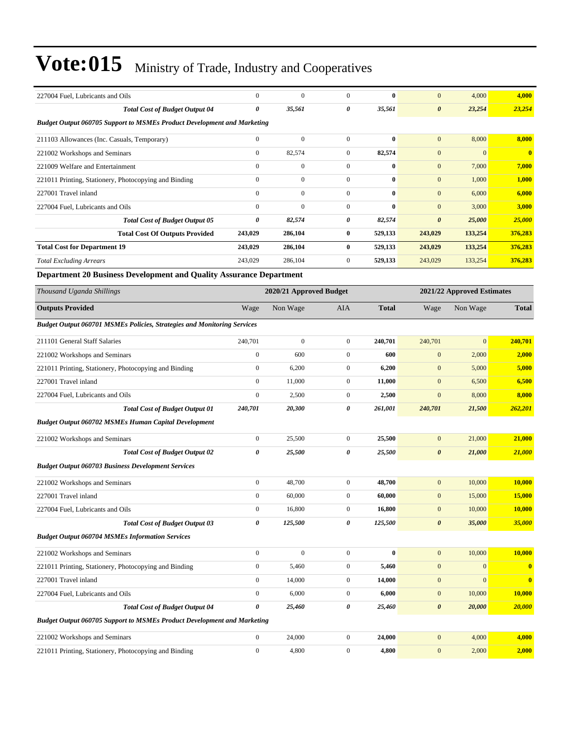| 227004 Fuel. Lubricants and Oils                                               | $\boldsymbol{0}$      | $\mathbf{0}$            | $\mathbf{0}$     | $\bf{0}$     | $\mathbf{0}$          | 4,000                      | 4,000         |
|--------------------------------------------------------------------------------|-----------------------|-------------------------|------------------|--------------|-----------------------|----------------------------|---------------|
| <b>Total Cost of Budget Output 04</b>                                          | 0                     | 35,561                  | 0                | 35,561       | $\boldsymbol{\theta}$ | 23,254                     | 23,254        |
| <b>Budget Output 060705 Support to MSMEs Product Development and Marketing</b> |                       |                         |                  |              |                       |                            |               |
| 211103 Allowances (Inc. Casuals, Temporary)                                    | $\boldsymbol{0}$      | $\mathbf{0}$            | $\boldsymbol{0}$ | $\bf{0}$     | $\mathbf{0}$          | 8,000                      | 8,000         |
| 221002 Workshops and Seminars                                                  | $\boldsymbol{0}$      | 82,574                  | $\boldsymbol{0}$ | 82,574       | $\mathbf{0}$          | $\mathbf{0}$               | $\bf{0}$      |
| 221009 Welfare and Entertainment                                               | $\boldsymbol{0}$      | $\boldsymbol{0}$        | $\boldsymbol{0}$ | $\bf{0}$     | $\mathbf{0}$          | 7,000                      | 7,000         |
| 221011 Printing, Stationery, Photocopying and Binding                          | $\boldsymbol{0}$      | $\boldsymbol{0}$        | $\boldsymbol{0}$ | $\bf{0}$     | $\mathbf{0}$          | 1,000                      | 1,000         |
| 227001 Travel inland                                                           | $\mathbf{0}$          | $\boldsymbol{0}$        | $\boldsymbol{0}$ | $\bf{0}$     | $\mathbf{0}$          | 6,000                      | 6,000         |
| 227004 Fuel, Lubricants and Oils                                               | $\mathbf{0}$          | $\overline{0}$          | $\boldsymbol{0}$ | $\bf{0}$     | $\mathbf{0}$          | 3,000                      | 3,000         |
| <b>Total Cost of Budget Output 05</b>                                          | $\boldsymbol{\theta}$ | 82,574                  | 0                | 82,574       | $\boldsymbol{\theta}$ | 25,000                     | 25,000        |
| <b>Total Cost Of Outputs Provided</b>                                          | 243,029               | 286,104                 | $\bf{0}$         | 529,133      | 243,029               | 133,254                    | 376,283       |
| <b>Total Cost for Department 19</b>                                            | 243,029               | 286,104                 | $\bf{0}$         | 529,133      | 243,029               | 133,254                    | 376,283       |
| <b>Total Excluding Arrears</b>                                                 | 243,029               | 286,104                 | $\boldsymbol{0}$ | 529,133      | 243,029               | 133,254                    | 376,283       |
| Department 20 Business Development and Quality Assurance Department            |                       |                         |                  |              |                       |                            |               |
| Thousand Uganda Shillings                                                      |                       | 2020/21 Approved Budget |                  |              |                       | 2021/22 Approved Estimates |               |
| <b>Outputs Provided</b>                                                        | Wage                  | Non Wage                | AIA              | <b>Total</b> | Wage                  | Non Wage                   | <b>Total</b>  |
| Budget Output 060701 MSMEs Policies, Strategies and Monitoring Services        |                       |                         |                  |              |                       |                            |               |
| 211101 General Staff Salaries                                                  | 240,701               | $\mathbf{0}$            | $\boldsymbol{0}$ | 240,701      | 240,701               | $\mathbf{0}$               | 240.701       |
| 221002 Workshops and Seminars                                                  | $\boldsymbol{0}$      | 600                     | $\boldsymbol{0}$ | 600          | $\mathbf{0}$          | 2,000                      | 2,000         |
| 221011 Printing, Stationery, Photocopying and Binding                          | $\boldsymbol{0}$      | 6,200                   | $\boldsymbol{0}$ | 6,200        | $\boldsymbol{0}$      | 5,000                      | 5,000         |
| 227001 Travel inland                                                           | $\boldsymbol{0}$      | 11,000                  | $\boldsymbol{0}$ | 11,000       | $\mathbf{0}$          | 6,500                      | 6,500         |
| 227004 Fuel, Lubricants and Oils                                               | $\boldsymbol{0}$      | 2,500                   | $\mathbf{0}$     | 2,500        | $\mathbf{0}$          | 8,000                      | 8,000         |
| <b>Total Cost of Budget Output 01</b>                                          | 240,701               | 20,300                  | 0                | 261,001      | 240,701               | 21,500                     | 262,201       |
| <b>Budget Output 060702 MSMEs Human Capital Development</b>                    |                       |                         |                  |              |                       |                            |               |
| 221002 Workshops and Seminars                                                  | $\boldsymbol{0}$      | 25,500                  | $\boldsymbol{0}$ | 25,500       | $\mathbf{0}$          | 21,000                     | 21,000        |
| <b>Total Cost of Budget Output 02</b>                                          | 0                     | 25,500                  | 0                | 25,500       | $\boldsymbol{\theta}$ | 21,000                     | 21,000        |
| <b>Budget Output 060703 Business Development Services</b>                      |                       |                         |                  |              |                       |                            |               |
| 221002 Workshops and Seminars                                                  | $\boldsymbol{0}$      | 48,700                  | $\boldsymbol{0}$ | 48,700       | $\mathbf{0}$          | 10,000                     | 10,000        |
| 227001 Travel inland                                                           | $\boldsymbol{0}$      | 60,000                  | $\boldsymbol{0}$ | 60,000       | $\mathbf{0}$          | 15,000                     | <b>15,000</b> |
| 227004 Fuel, Lubricants and Oils                                               | $\boldsymbol{0}$      | 16,800                  | $\boldsymbol{0}$ | 16,800       | $\boldsymbol{0}$      | 10,000                     | 10,000        |
| <b>Total Cost of Budget Output 03</b>                                          | $\boldsymbol{\theta}$ | 125,500                 | 0                | 125,500      | $\boldsymbol{\theta}$ | 35,000                     | 35,000        |
| <b>Budget Output 060704 MSMEs Information Services</b>                         |                       |                         |                  |              |                       |                            |               |
| 221002 Workshops and Seminars                                                  | $\boldsymbol{0}$      | $\boldsymbol{0}$        | $\boldsymbol{0}$ | $\bf{0}$     | $\mathbf{0}$          | 10,000                     | 10,000        |
| 221011 Printing, Stationery, Photocopying and Binding                          | $\boldsymbol{0}$      | 5,460                   | $\boldsymbol{0}$ | 5,460        | $\mathbf{0}$          | $\boldsymbol{0}$           | $\bf{0}$      |
| 227001 Travel inland                                                           | $\boldsymbol{0}$      | 14,000                  | $\boldsymbol{0}$ | 14,000       | $\mathbf{0}$          | $\boldsymbol{0}$           | $\bf{0}$      |
| 227004 Fuel, Lubricants and Oils                                               | $\boldsymbol{0}$      | 6,000                   | $\boldsymbol{0}$ | 6,000        | $\mathbf{0}$          | 10,000                     | 10,000        |
| <b>Total Cost of Budget Output 04</b>                                          | $\boldsymbol{\theta}$ | 25,460                  | 0                | 25,460       | $\boldsymbol{\theta}$ | 20,000                     | 20,000        |
| <b>Budget Output 060705 Support to MSMEs Product Development and Marketing</b> |                       |                         |                  |              |                       |                            |               |
| 221002 Workshops and Seminars                                                  | $\boldsymbol{0}$      | 24,000                  | $\boldsymbol{0}$ | 24,000       | $\mathbf{0}$          | 4,000                      | 4,000         |
| 221011 Printing, Stationery, Photocopying and Binding                          | $\boldsymbol{0}$      | 4,800                   | $\boldsymbol{0}$ | 4,800        | $\mathbf{0}$          | 2,000                      | 2,000         |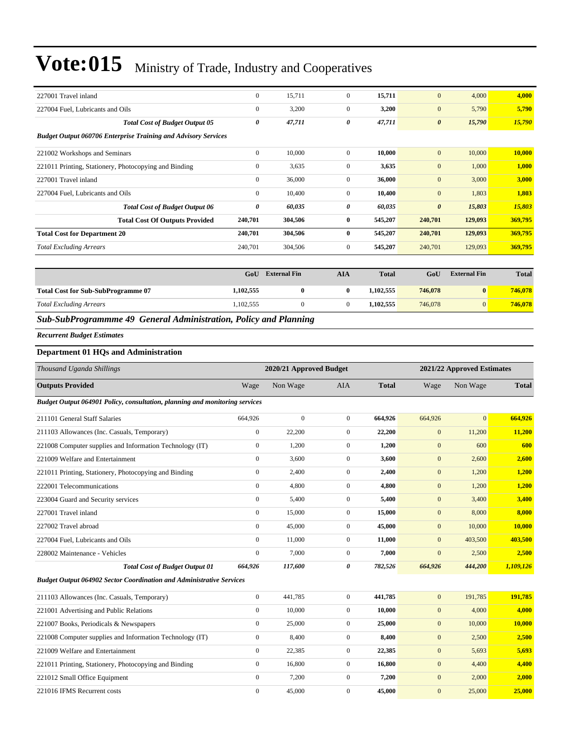| 227001 Travel inland                                                  | $\mathbf{0}$     | 15,711  | $\mathbf{0}$   | 15,711  | $\mathbf{0}$          | 4,000   | 4,000   |
|-----------------------------------------------------------------------|------------------|---------|----------------|---------|-----------------------|---------|---------|
| 227004 Fuel, Lubricants and Oils                                      | $\boldsymbol{0}$ | 3,200   | $\mathbf{0}$   | 3,200   | $\mathbf{0}$          | 5,790   | 5,790   |
| <b>Total Cost of Budget Output 05</b>                                 | 0                | 47,711  | 0              | 47,711  | $\boldsymbol{\theta}$ | 15,790  | 15,790  |
| <b>Budget Output 060706 Enterprise Training and Advisory Services</b> |                  |         |                |         |                       |         |         |
| 221002 Workshops and Seminars                                         | $\mathbf{0}$     | 10,000  | $\mathbf{0}$   | 10,000  | $\mathbf{0}$          | 10,000  | 10,000  |
| 221011 Printing, Stationery, Photocopying and Binding                 | $\mathbf{0}$     | 3,635   | $\mathbf{0}$   | 3,635   | $\mathbf{0}$          | 1,000   | 1,000   |
| 227001 Travel inland                                                  | $\mathbf{0}$     | 36,000  | $\overline{0}$ | 36,000  | $\mathbf{0}$          | 3,000   | 3,000   |
| 227004 Fuel, Lubricants and Oils                                      | $\mathbf{0}$     | 10,400  | $\overline{0}$ | 10,400  | $\mathbf{0}$          | 1,803   | 1,803   |
| <b>Total Cost of Budget Output 06</b>                                 | 0                | 60,035  | 0              | 60,035  | $\boldsymbol{\theta}$ | 15,803  | 15,803  |
| <b>Total Cost Of Outputs Provided</b>                                 | 240,701          | 304,506 | $\bf{0}$       | 545,207 | 240,701               | 129,093 | 369,795 |
| <b>Total Cost for Department 20</b>                                   | 240,701          | 304,506 | $\bf{0}$       | 545,207 | 240,701               | 129,093 | 369,795 |
| <b>Total Excluding Arrears</b>                                        | 240,701          | 304,506 | $\overline{0}$ | 545,207 | 240,701               | 129,093 | 369,795 |
|                                                                       |                  |         |                |         |                       |         |         |

|                                           | GoU       | <b>External Fin</b> | AIA | <b>Total</b> | GoU     | <b>External Fin</b> | <b>Total</b> |
|-------------------------------------------|-----------|---------------------|-----|--------------|---------|---------------------|--------------|
| <b>Total Cost for Sub-SubProgramme 07</b> | 1,102,555 |                     |     | 1.102.555    | 746,078 | $\mathbf{0}$        | 746,078      |
| <b>Total Excluding Arrears</b>            | 1,102,555 |                     |     | 1.102.555    | 746,078 |                     | 746,078      |

*Sub-SubProgrammme 49 General Administration, Policy and Planning*

*Recurrent Budget Estimates*

### **Department 01 HQs and Administration**

| Thousand Uganda Shillings                                                   |                  | 2020/21 Approved Budget |                |              |              | 2021/22 Approved Estimates |              |
|-----------------------------------------------------------------------------|------------------|-------------------------|----------------|--------------|--------------|----------------------------|--------------|
| <b>Outputs Provided</b>                                                     | Wage             | Non Wage                | <b>AIA</b>     | <b>Total</b> | Wage         | Non Wage                   | <b>Total</b> |
| Budget Output 064901 Policy, consultation, planning and monitoring services |                  |                         |                |              |              |                            |              |
| 211101 General Staff Salaries                                               | 664,926          | $\overline{0}$          | $\overline{0}$ | 664,926      | 664,926      | $\overline{0}$             | 664,926      |
| 211103 Allowances (Inc. Casuals, Temporary)                                 | $\mathbf{0}$     | 22,200                  | $\overline{0}$ | 22,200       | $\mathbf{0}$ | 11,200                     | 11,200       |
| 221008 Computer supplies and Information Technology (IT)                    | $\boldsymbol{0}$ | 1,200                   | $\overline{0}$ | 1,200        | $\mathbf{0}$ | 600                        | 600          |
| 221009 Welfare and Entertainment                                            | $\mathbf{0}$     | 3,600                   | $\overline{0}$ | 3,600        | $\mathbf{0}$ | 2,600                      | 2,600        |
| 221011 Printing, Stationery, Photocopying and Binding                       | $\mathbf{0}$     | 2,400                   | $\overline{0}$ | 2,400        | $\mathbf{0}$ | 1,200                      | 1,200        |
| 222001 Telecommunications                                                   | $\mathbf{0}$     | 4,800                   | $\overline{0}$ | 4,800        | $\mathbf{0}$ | 1,200                      | 1,200        |
| 223004 Guard and Security services                                          | $\boldsymbol{0}$ | 5,400                   | $\overline{0}$ | 5,400        | $\mathbf{0}$ | 3,400                      | 3,400        |
| 227001 Travel inland                                                        | $\mathbf{0}$     | 15,000                  | $\overline{0}$ | 15,000       | $\mathbf{0}$ | 8,000                      | 8,000        |
| 227002 Travel abroad                                                        | $\boldsymbol{0}$ | 45,000                  | $\mathbf{0}$   | 45,000       | $\mathbf{0}$ | 10,000                     | 10,000       |
| 227004 Fuel, Lubricants and Oils                                            | $\mathbf{0}$     | 11,000                  | 0              | 11,000       | $\mathbf{0}$ | 403,500                    | 403,500      |
| 228002 Maintenance - Vehicles                                               | $\mathbf{0}$     | 7,000                   | $\overline{0}$ | 7.000        | $\mathbf{0}$ | 2,500                      | 2,500        |
| <b>Total Cost of Budget Output 01</b>                                       | 664,926          | 117,600                 | 0              | 782,526      | 664,926      | 444,200                    | 1,109,126    |
| <b>Budget Output 064902 Sector Coordination and Administrative Services</b> |                  |                         |                |              |              |                            |              |
| 211103 Allowances (Inc. Casuals, Temporary)                                 | $\boldsymbol{0}$ | 441,785                 | $\overline{0}$ | 441,785      | $\mathbf{0}$ | 191,785                    | 191,785      |
| 221001 Advertising and Public Relations                                     | $\mathbf{0}$     | 10,000                  | $\overline{0}$ | 10,000       | $\mathbf{0}$ | 4,000                      | 4,000        |
| 221007 Books, Periodicals & Newspapers                                      | $\mathbf{0}$     | 25,000                  | $\overline{0}$ | 25,000       | $\mathbf{0}$ | 10,000                     | 10,000       |
| 221008 Computer supplies and Information Technology (IT)                    | $\boldsymbol{0}$ | 8,400                   | $\overline{0}$ | 8,400        | $\mathbf{0}$ | 2,500                      | 2,500        |
| 221009 Welfare and Entertainment                                            | $\mathbf{0}$     | 22,385                  | $\mathbf{0}$   | 22,385       | $\mathbf{0}$ | 5,693                      | 5,693        |
| 221011 Printing, Stationery, Photocopying and Binding                       | $\mathbf{0}$     | 16,800                  | $\mathbf{0}$   | 16,800       | $\mathbf{0}$ | 4,400                      | 4,400        |
| 221012 Small Office Equipment                                               | $\mathbf{0}$     | 7,200                   | $\overline{0}$ | 7,200        | $\mathbf{0}$ | 2,000                      | 2,000        |
| 221016 IFMS Recurrent costs                                                 | $\mathbf{0}$     | 45,000                  | $\mathbf{0}$   | 45,000       | $\mathbf{0}$ | 25,000                     | 25,000       |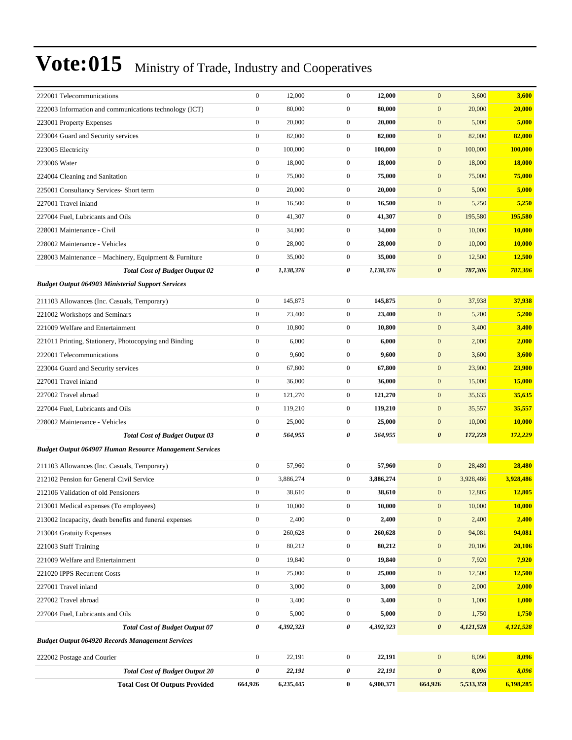| 222001 Telecommunications                                      | $\boldsymbol{0}$ | 12,000    | $\mathbf{0}$     | 12,000    | $\mathbf{0}$<br>3,600            | 3,600         |
|----------------------------------------------------------------|------------------|-----------|------------------|-----------|----------------------------------|---------------|
| 222003 Information and communications technology (ICT)         | $\boldsymbol{0}$ | 80,000    | $\mathbf{0}$     | 80,000    | $\boldsymbol{0}$<br>20,000       | 20,000        |
| 223001 Property Expenses                                       | $\boldsymbol{0}$ | 20,000    | $\overline{0}$   | 20,000    | $\mathbf{0}$<br>5,000            | 5,000         |
| 223004 Guard and Security services                             | $\boldsymbol{0}$ | 82,000    | $\overline{0}$   | 82,000    | $\mathbf{0}$<br>82,000           | 82,000        |
| 223005 Electricity                                             | $\boldsymbol{0}$ | 100,000   | $\overline{0}$   | 100,000   | $\mathbf{0}$<br>100,000          | 100,000       |
| 223006 Water                                                   | $\boldsymbol{0}$ | 18,000    | $\mathbf{0}$     | 18,000    | $\mathbf{0}$<br>18,000           | 18,000        |
| 224004 Cleaning and Sanitation                                 | $\boldsymbol{0}$ | 75,000    | $\mathbf{0}$     | 75,000    | $\mathbf{0}$<br>75,000           | 75,000        |
| 225001 Consultancy Services- Short term                        | $\boldsymbol{0}$ | 20,000    | $\mathbf{0}$     | 20,000    | $\mathbf{0}$<br>5,000            | 5,000         |
| 227001 Travel inland                                           | $\boldsymbol{0}$ | 16,500    | $\mathbf{0}$     | 16,500    | $\mathbf{0}$<br>5,250            | 5,250         |
| 227004 Fuel, Lubricants and Oils                               | $\boldsymbol{0}$ | 41,307    | $\overline{0}$   | 41,307    | $\mathbf{0}$<br>195,580          | 195,580       |
| 228001 Maintenance - Civil                                     | $\boldsymbol{0}$ | 34,000    | $\mathbf{0}$     | 34,000    | $\mathbf{0}$<br>10,000           | 10,000        |
| 228002 Maintenance - Vehicles                                  | $\boldsymbol{0}$ | 28,000    | $\mathbf{0}$     | 28,000    | $\mathbf{0}$<br>10,000           | <b>10,000</b> |
| 228003 Maintenance - Machinery, Equipment & Furniture          | $\mathbf{0}$     | 35,000    | $\mathbf{0}$     | 35,000    | $\mathbf{0}$<br>12,500           | 12,500        |
| <b>Total Cost of Budget Output 02</b>                          | 0                | 1,138,376 | 0                | 1,138,376 | $\boldsymbol{\theta}$<br>787,306 | 787,306       |
| <b>Budget Output 064903 Ministerial Support Services</b>       |                  |           |                  |           |                                  |               |
| 211103 Allowances (Inc. Casuals, Temporary)                    | $\boldsymbol{0}$ | 145,875   | $\mathbf{0}$     | 145,875   | $\mathbf{0}$<br>37,938           | 37,938        |
| 221002 Workshops and Seminars                                  | $\boldsymbol{0}$ | 23,400    | $\mathbf{0}$     | 23,400    | $\mathbf{0}$<br>5,200            | 5,200         |
| 221009 Welfare and Entertainment                               | $\boldsymbol{0}$ | 10,800    | $\mathbf{0}$     | 10,800    | $\mathbf{0}$<br>3,400            | 3,400         |
| 221011 Printing, Stationery, Photocopying and Binding          | $\boldsymbol{0}$ | 6,000     | $\mathbf{0}$     | 6,000     | $\boldsymbol{0}$<br>2,000        | 2,000         |
| 222001 Telecommunications                                      | $\boldsymbol{0}$ | 9,600     | $\mathbf{0}$     | 9,600     | $\mathbf{0}$<br>3,600            | 3,600         |
| 223004 Guard and Security services                             | $\boldsymbol{0}$ | 67,800    | $\mathbf{0}$     | 67,800    | $\mathbf{0}$<br>23,900           | 23,900        |
| 227001 Travel inland                                           | $\boldsymbol{0}$ | 36,000    | $\mathbf{0}$     | 36,000    | $\mathbf{0}$<br>15,000           | 15,000        |
| 227002 Travel abroad                                           | $\boldsymbol{0}$ | 121,270   | $\mathbf{0}$     | 121,270   | $\mathbf{0}$<br>35,635           | 35,635        |
| 227004 Fuel, Lubricants and Oils                               | $\boldsymbol{0}$ | 119,210   | $\mathbf{0}$     | 119,210   | $\mathbf{0}$<br>35,557           | 35,557        |
| 228002 Maintenance - Vehicles                                  | $\boldsymbol{0}$ | 25,000    | $\mathbf{0}$     | 25,000    | $\mathbf{0}$<br>10,000           | <b>10,000</b> |
| <b>Total Cost of Budget Output 03</b>                          | 0                | 564,955   | 0                | 564,955   | $\boldsymbol{\theta}$<br>172,229 | 172,229       |
| <b>Budget Output 064907 Human Resource Management Services</b> |                  |           |                  |           |                                  |               |
| 211103 Allowances (Inc. Casuals, Temporary)                    | $\boldsymbol{0}$ | 57,960    | $\mathbf{0}$     | 57,960    | $\mathbf{0}$<br>28,480           | 28,480        |
| 212102 Pension for General Civil Service                       | $\boldsymbol{0}$ | 3,886,274 | $\mathbf{0}$     | 3,886,274 | 3,928,486<br>$\bf{0}$            | 3,928,486     |
| 212106 Validation of old Pensioners                            | $\boldsymbol{0}$ | 38,610    | $\mathbf{0}$     | 38,610    | 12,805<br>$\mathbf{0}$           | 12,805        |
| 213001 Medical expenses (To employees)                         | $\boldsymbol{0}$ | 10,000    | $\boldsymbol{0}$ | 10,000    | $\boldsymbol{0}$<br>10,000       | 10,000        |
| 213002 Incapacity, death benefits and funeral expenses         | $\boldsymbol{0}$ | 2,400     | $\boldsymbol{0}$ | 2,400     | $\mathbf{0}$<br>2,400            | 2,400         |
| 213004 Gratuity Expenses                                       | $\boldsymbol{0}$ | 260,628   | $\boldsymbol{0}$ | 260,628   | 94,081<br>$\mathbf{0}$           | 94,081        |
| 221003 Staff Training                                          | $\boldsymbol{0}$ | 80,212    | $\boldsymbol{0}$ | 80,212    | $\boldsymbol{0}$<br>20,106       | 20,106        |
| 221009 Welfare and Entertainment                               | $\boldsymbol{0}$ | 19,840    | $\boldsymbol{0}$ | 19,840    | $\mathbf{0}$<br>7,920            | 7,920         |
| 221020 IPPS Recurrent Costs                                    | $\boldsymbol{0}$ | 25,000    | $\boldsymbol{0}$ | 25,000    | $\mathbf{0}$<br>12,500           | 12,500        |
| 227001 Travel inland                                           | $\boldsymbol{0}$ | 3,000     | $\boldsymbol{0}$ | 3,000     | $\boldsymbol{0}$<br>2,000        | 2,000         |
| 227002 Travel abroad                                           | $\boldsymbol{0}$ | 3,400     | $\boldsymbol{0}$ | 3,400     | $\mathbf{0}$<br>1,000            | 1,000         |
| 227004 Fuel, Lubricants and Oils                               | $\boldsymbol{0}$ | 5,000     | $\boldsymbol{0}$ | 5,000     | $\mathbf{0}$<br>1,750            | 1,750         |
| <b>Total Cost of Budget Output 07</b>                          | $\pmb{\theta}$   | 4,392,323 | 0                | 4,392,323 | $\pmb{\theta}$<br>4,121,528      | 4,121,528     |
| <b>Budget Output 064920 Records Management Services</b>        |                  |           |                  |           |                                  |               |
| 222002 Postage and Courier                                     | $\boldsymbol{0}$ | 22,191    | $\boldsymbol{0}$ | 22,191    | 8,096<br>$\mathbf{0}$            | 8,096         |
| <b>Total Cost of Budget Output 20</b>                          | 0                | 22,191    | 0                | 22,191    | $\boldsymbol{\theta}$<br>8,096   | 8,096         |
| <b>Total Cost Of Outputs Provided</b>                          | 664,926          | 6,235,445 | $\bf{0}$         | 6,900,371 | 664,926<br>5,533,359             | 6,198,285     |
|                                                                |                  |           |                  |           |                                  |               |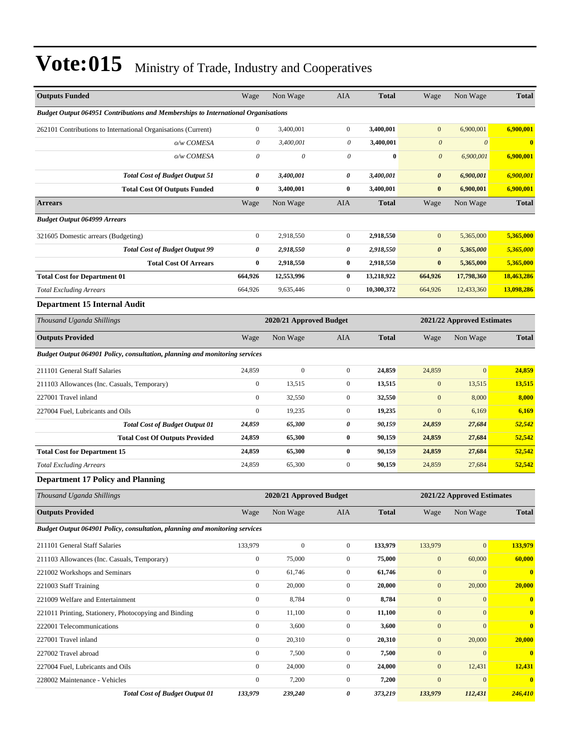| <b>Outputs Funded</b>                                                                    | Wage                  | Non Wage                  | AIA              | <b>Total</b> | Wage                  | Non Wage                   | <b>Total</b>            |
|------------------------------------------------------------------------------------------|-----------------------|---------------------------|------------------|--------------|-----------------------|----------------------------|-------------------------|
| <b>Budget Output 064951 Contributions and Memberships to International Organisations</b> |                       |                           |                  |              |                       |                            |                         |
| 262101 Contributions to International Organisations (Current)                            | $\boldsymbol{0}$      | 3,400,001                 | $\overline{0}$   | 3,400,001    | $\mathbf{0}$          | 6,900,001                  | 6,900,001               |
| o/w COMESA                                                                               | $\theta$              | 3,400,001                 | 0                | 3,400,001    | $\boldsymbol{\theta}$ | $\boldsymbol{\theta}$      | $\overline{\mathbf{0}}$ |
| o/w COMESA                                                                               | $\boldsymbol{\theta}$ | $\boldsymbol{\mathit{0}}$ | 0                | $\bf{0}$     | $\boldsymbol{\theta}$ | 6,900,001                  | 6,900,001               |
| <b>Total Cost of Budget Output 51</b>                                                    | 0                     | 3,400,001                 | 0                | 3,400,001    | $\boldsymbol{\theta}$ | 6,900,001                  | 6,900,001               |
| <b>Total Cost Of Outputs Funded</b>                                                      | $\bf{0}$              | 3,400,001                 | $\bf{0}$         | 3,400,001    | $\bf{0}$              | 6,900,001                  | 6,900,001               |
| <b>Arrears</b>                                                                           | Wage                  | Non Wage                  | AIA              | <b>Total</b> | Wage                  | Non Wage                   | <b>Total</b>            |
| <b>Budget Output 064999 Arrears</b>                                                      |                       |                           |                  |              |                       |                            |                         |
| 321605 Domestic arrears (Budgeting)                                                      | $\boldsymbol{0}$      | 2,918,550                 | $\mathbf{0}$     | 2,918,550    | $\mathbf{0}$          | 5,365,000                  | 5,365,000               |
| <b>Total Cost of Budget Output 99</b>                                                    | 0                     | 2,918,550                 | 0                | 2,918,550    | $\boldsymbol{\theta}$ | 5,365,000                  | 5,365,000               |
| <b>Total Cost Of Arrears</b>                                                             | $\bf{0}$              | 2,918,550                 | $\bf{0}$         | 2,918,550    | $\bf{0}$              | 5,365,000                  | 5,365,000               |
| <b>Total Cost for Department 01</b>                                                      | 664,926               | 12,553,996                | $\bf{0}$         | 13,218,922   | 664,926               | 17,798,360                 | 18,463,286              |
| <b>Total Excluding Arrears</b>                                                           | 664,926               | 9,635,446                 | $\mathbf{0}$     | 10,300,372   | 664,926               | 12,433,360                 | 13,098,286              |
| <b>Department 15 Internal Audit</b>                                                      |                       |                           |                  |              |                       |                            |                         |
| Thousand Uganda Shillings                                                                |                       | 2020/21 Approved Budget   |                  |              |                       | 2021/22 Approved Estimates |                         |
| <b>Outputs Provided</b>                                                                  | Wage                  | Non Wage                  | <b>AIA</b>       | <b>Total</b> | Wage                  | Non Wage                   | <b>Total</b>            |
| Budget Output 064901 Policy, consultation, planning and monitoring services              |                       |                           |                  |              |                       |                            |                         |
| 211101 General Staff Salaries                                                            | 24,859                | $\mathbf{0}$              | $\mathbf{0}$     | 24,859       | 24,859                | $\mathbf{0}$               | 24,859                  |
| 211103 Allowances (Inc. Casuals, Temporary)                                              | $\boldsymbol{0}$      | 13,515                    | $\mathbf{0}$     | 13,515       | $\mathbf{0}$          | 13,515                     | 13,515                  |
| 227001 Travel inland                                                                     | $\boldsymbol{0}$      | 32,550                    | $\mathbf{0}$     | 32,550       | $\mathbf{0}$          | 8,000                      | 8,000                   |
| 227004 Fuel, Lubricants and Oils                                                         | $\boldsymbol{0}$      | 19,235                    | $\mathbf{0}$     | 19,235       | $\mathbf{0}$          | 6,169                      | 6,169                   |
| <b>Total Cost of Budget Output 01</b>                                                    | 24,859                | 65,300                    | 0                | 90,159       | 24,859                | 27,684                     | 52,542                  |
| <b>Total Cost Of Outputs Provided</b>                                                    | 24,859                | 65,300                    | $\bf{0}$         | 90,159       | 24,859                | 27,684                     | 52,542                  |
| <b>Total Cost for Department 15</b>                                                      | 24,859                | 65,300                    | $\bf{0}$         | 90,159       | 24,859                | 27,684                     | 52,542                  |
| <b>Total Excluding Arrears</b>                                                           | 24,859                | 65,300                    | $\mathbf{0}$     | 90,159       | 24,859                | 27,684                     | 52,542                  |
| <b>Department 17 Policy and Planning</b>                                                 |                       |                           |                  |              |                       |                            |                         |
| Thousand Uganda Shillings                                                                |                       | 2020/21 Approved Budget   |                  |              |                       | 2021/22 Approved Estimates |                         |
| <b>Outputs Provided</b>                                                                  | Wage                  | Non Wage                  | AIA              | <b>Total</b> | Wage                  | Non Wage                   | <b>Total</b>            |
| Budget Output 064901 Policy, consultation, planning and monitoring services              |                       |                           |                  |              |                       |                            |                         |
| 211101 General Staff Salaries                                                            | 133,979               | $\boldsymbol{0}$          | $\overline{0}$   | 133,979      | 133,979               | $\boldsymbol{0}$           | 133,979                 |
| 211103 Allowances (Inc. Casuals, Temporary)                                              | $\boldsymbol{0}$      | 75,000                    | $\mathbf{0}$     | 75,000       | $\boldsymbol{0}$      | 60,000                     | 60,000                  |
| 221002 Workshops and Seminars                                                            | $\boldsymbol{0}$      | 61,746                    | $\boldsymbol{0}$ | 61,746       | $\boldsymbol{0}$      | $\mathbf{0}$               | $\mathbf{0}$            |
| 221003 Staff Training                                                                    | $\boldsymbol{0}$      | 20,000                    | $\boldsymbol{0}$ | 20,000       | $\boldsymbol{0}$      | 20,000                     | 20,000                  |
| 221009 Welfare and Entertainment                                                         | $\boldsymbol{0}$      | 8,784                     | $\boldsymbol{0}$ | 8,784        | $\boldsymbol{0}$      | $\mathbf{0}$               | $\bf{0}$                |
| 221011 Printing, Stationery, Photocopying and Binding                                    | $\boldsymbol{0}$      | 11,100                    | $\boldsymbol{0}$ | 11,100       | $\boldsymbol{0}$      | $\mathbf{0}$               | $\bf{0}$                |
| 222001 Telecommunications                                                                | $\boldsymbol{0}$      | 3,600                     | $\mathbf{0}$     | 3,600        | $\boldsymbol{0}$      | $\mathbf{0}$               | $\bf{0}$                |
| 227001 Travel inland                                                                     | $\boldsymbol{0}$      | 20,310                    | $\mathbf{0}$     | 20,310       | $\boldsymbol{0}$      | 20,000                     | 20,000                  |
| 227002 Travel abroad                                                                     | $\boldsymbol{0}$      | 7,500                     | $\overline{0}$   | 7,500        | $\mathbf{0}$          | $\mathbf{0}$               | $\bf{0}$                |
| 227004 Fuel, Lubricants and Oils                                                         | $\boldsymbol{0}$      | 24,000                    | $\boldsymbol{0}$ | 24,000       | $\boldsymbol{0}$      | 12,431                     | 12,431                  |
| 228002 Maintenance - Vehicles                                                            | $\boldsymbol{0}$      | 7,200                     | $\boldsymbol{0}$ | 7,200        | $\boldsymbol{0}$      | $\mathbf{0}$               | $\bf{0}$                |
| <b>Total Cost of Budget Output 01</b>                                                    | 133,979               | 239,240                   | 0                | 373,219      | 133,979               | 112,431                    | 246,410                 |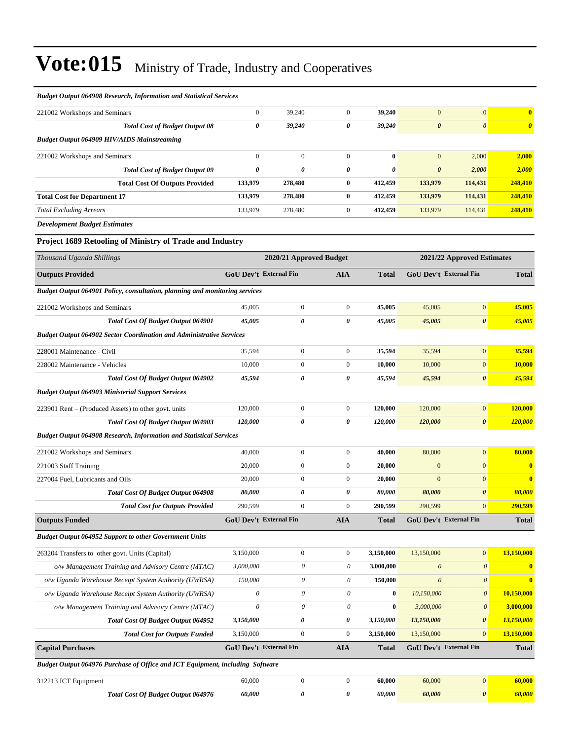| <b>Budget Output 064908 Research, Information and Statistical Services</b>  |                               |                         |                           |                       |                       |                               |                       |
|-----------------------------------------------------------------------------|-------------------------------|-------------------------|---------------------------|-----------------------|-----------------------|-------------------------------|-----------------------|
| 221002 Workshops and Seminars                                               | $\mathbf{0}$                  | 39,240                  | $\mathbf{0}$              | 39,240                | $\overline{0}$        | $\mathbf{0}$                  | $\bf{0}$              |
| <b>Total Cost of Budget Output 08</b>                                       | $\pmb{\theta}$                | 39,240                  | 0                         | 39,240                | $\boldsymbol{\theta}$ | $\boldsymbol{\theta}$         | $\boldsymbol{\theta}$ |
| <b>Budget Output 064909 HIV/AIDS Mainstreaming</b>                          |                               |                         |                           |                       |                       |                               |                       |
| 221002 Workshops and Seminars                                               | $\boldsymbol{0}$              | $\boldsymbol{0}$        | $\mathbf{0}$              | $\bf{0}$              | $\mathbf{0}$          | 2,000                         | 2,000                 |
| <b>Total Cost of Budget Output 09</b>                                       | $\boldsymbol{\theta}$         | 0                       | 0                         | $\boldsymbol{\theta}$ | $\boldsymbol{\theta}$ | 2,000                         | 2,000                 |
| <b>Total Cost Of Outputs Provided</b>                                       | 133,979                       | 278,480                 | $\bf{0}$                  | 412,459               | 133,979               | 114,431                       | 248,410               |
| <b>Total Cost for Department 17</b>                                         | 133,979                       | 278,480                 | $\bf{0}$                  | 412,459               | 133,979               | 114,431                       | 248,410               |
| <b>Total Excluding Arrears</b>                                              | 133,979                       | 278,480                 | $\mathbf{0}$              | 412,459               | 133,979               | 114,431                       | 248,410               |
| <b>Development Budget Estimates</b>                                         |                               |                         |                           |                       |                       |                               |                       |
| Project 1689 Retooling of Ministry of Trade and Industry                    |                               |                         |                           |                       |                       |                               |                       |
| Thousand Uganda Shillings                                                   |                               | 2020/21 Approved Budget |                           |                       |                       | 2021/22 Approved Estimates    |                       |
| <b>Outputs Provided</b>                                                     | GoU Dev't External Fin        |                         | AIA                       | <b>Total</b>          |                       | GoU Dev't External Fin        | <b>Total</b>          |
| Budget Output 064901 Policy, consultation, planning and monitoring services |                               |                         |                           |                       |                       |                               |                       |
| 221002 Workshops and Seminars                                               | 45,005                        | $\mathbf{0}$            | $\boldsymbol{0}$          | 45,005                | 45,005                | $\mathbf{0}$                  | 45,005                |
| <b>Total Cost Of Budget Output 064901</b>                                   | 45,005                        | 0                       | 0                         | 45,005                | 45,005                | $\boldsymbol{\theta}$         | 45,005                |
| <b>Budget Output 064902 Sector Coordination and Administrative Services</b> |                               |                         |                           |                       |                       |                               |                       |
| 228001 Maintenance - Civil                                                  | 35,594                        | $\boldsymbol{0}$        | $\boldsymbol{0}$          | 35,594                | 35,594                | $\mathbf{0}$                  | 35,594                |
| 228002 Maintenance - Vehicles                                               | 10,000                        | $\overline{0}$          | $\boldsymbol{0}$          | 10,000                | 10,000                | $\overline{0}$                | 10,000                |
| Total Cost Of Budget Output 064902                                          | 45,594                        | 0                       | 0                         | 45,594                | 45,594                | 0                             | 45,594                |
| <b>Budget Output 064903 Ministerial Support Services</b>                    |                               |                         |                           |                       |                       |                               |                       |
| 223901 Rent – (Produced Assets) to other govt. units                        | 120,000                       | $\boldsymbol{0}$        | $\boldsymbol{0}$          | 120,000               | 120,000               | $\mathbf{0}$                  | 120,000               |
| <b>Total Cost Of Budget Output 064903</b>                                   | 120,000                       | 0                       | 0                         | 120,000               | 120,000               | $\boldsymbol{\theta}$         | 120,000               |
| <b>Budget Output 064908 Research, Information and Statistical Services</b>  |                               |                         |                           |                       |                       |                               |                       |
| 221002 Workshops and Seminars                                               | 40,000                        | $\boldsymbol{0}$        | $\boldsymbol{0}$          | 40,000                | 80,000                | $\mathbf{0}$                  | 80,000                |
| 221003 Staff Training                                                       | 20,000                        | $\overline{0}$          | $\boldsymbol{0}$          | 20,000                | $\mathbf{0}$          | $\mathbf{0}$                  | $\bf{0}$              |
| 227004 Fuel, Lubricants and Oils                                            | 20,000                        | $\mathbf{0}$            | $\boldsymbol{0}$          | 20,000                | $\boldsymbol{0}$      | $\mathbf{0}$                  | $\bf{0}$              |
| <b>Total Cost Of Budget Output 064908</b>                                   | 80,000                        | 0                       | 0                         | 80,000                | 80,000                | $\boldsymbol{\theta}$         | 80,000                |
| <b>Total Cost for Outputs Provided</b>                                      | 290,599                       | $\boldsymbol{0}$        | $\boldsymbol{0}$          | 290,599               | 290,599               | $\mathbf{0}$                  | 290,599               |
| <b>Outputs Funded</b>                                                       | <b>GoU Dev't External Fin</b> |                         | <b>AIA</b>                | <b>Total</b>          |                       | <b>GoU Dev't External Fin</b> | <b>Total</b>          |
| <b>Budget Output 064952 Support to other Government Units</b>               |                               |                         |                           |                       |                       |                               |                       |
| 263204 Transfers to other govt. Units (Capital)                             | 3,150,000                     | $\boldsymbol{0}$        | $\boldsymbol{0}$          | 3,150,000             | 13,150,000            | $\mathbf{0}$                  | 13,150,000            |
| o/w Management Training and Advisory Centre (MTAC)                          | 3,000,000                     | $\mathcal O$            | $\theta$                  | 3,000,000             | $\boldsymbol{\theta}$ | $\boldsymbol{\theta}$         | $\bf{0}$              |
| o/w Uganda Warehouse Receipt System Authority (UWRSA)                       | 150,000                       | 0                       | 0                         | 150,000               | $\boldsymbol{\theta}$ | $\boldsymbol{\mathit{0}}$     | $\bf{0}$              |
| o/w Uganda Warehouse Receipt System Authority (UWRSA)                       | $\boldsymbol{\mathit{0}}$     | 0                       | 0                         | $\bf{0}$              | 10,150,000            | $\boldsymbol{\mathit{0}}$     | 10,150,000            |
| o/w Management Training and Advisory Centre (MTAC)                          | $\mathcal O$                  | $\mathcal O$            | $\boldsymbol{\mathit{0}}$ | $\bf{0}$              | 3,000,000             | $\boldsymbol{\mathit{0}}$     | 3,000,000             |
| Total Cost Of Budget Output 064952                                          | 3,150,000                     | 0                       | 0                         | 3,150,000             | 13,150,000            | 0                             | 13,150,000            |
| <b>Total Cost for Outputs Funded</b>                                        | 3,150,000                     | $\boldsymbol{0}$        | $\boldsymbol{0}$          | 3,150,000             | 13,150,000            | $\boldsymbol{0}$              | 13,150,000            |
| <b>Capital Purchases</b>                                                    | <b>GoU Dev't External Fin</b> |                         | <b>AIA</b>                | <b>Total</b>          |                       | GoU Dev't External Fin        | <b>Total</b>          |

*Budget Output 064976 Purchase of Office and ICT Equipment, including Software*

| Equipment<br>3122. |                                           |        |  | 60.000 |       |          |  |
|--------------------|-------------------------------------------|--------|--|--------|-------|----------|--|
|                    | <b>Total Cost Of Budget Output 064976</b> | 60.000 |  | 60.000 | 0.000 | $\theta$ |  |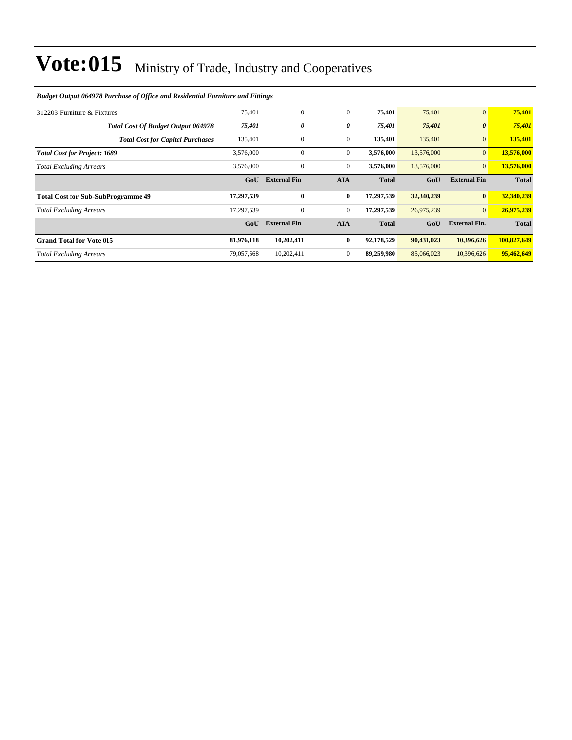### 312203 Furniture & Fixtures 75,401 0 0 **75,401** 75,401 0 **75,401** *Total Cost Of Budget Output 064978 75,401 0 0 75,401 75,401 0 75,401 Total Cost for Capital Purchases* 135,401 0 0 0 135,401 135,401 0 135,401 **Total Cost for Project: 1689** 3,576,000 3,576,000 0 3,576,000 13,576,000 0 13,576,000 13,576,000 **Total Excluding Arrears** 3,576,000 0 0 3,576,000 0 13,576,000 0 13,576,000 0 13,576,000 **GoU External Fin AIA Total GoU External Fin Total Total Cost for Sub-SubProgramme 49 17,297,539 0 0 17,297,539 32,340,239 0 32,340,239** *Total Excluding Arrears* 17,297,539 0 0 **17,297,539** 26,975,239 0 **26,975,239 GoU External Fin AIA Total GoU External Fin. Total Grand Total for Vote 015 81,976,118 10,202,411 0 92,178,529 90,431,023 10,396,626 100,827,649** *Total Excluding Arrears* 79,057,568 10,202,411 0 **89,259,980** 85,066,023 10,396,626 **95,462,649**

#### *Budget Output 064978 Purchase of Office and Residential Furniture and Fittings*